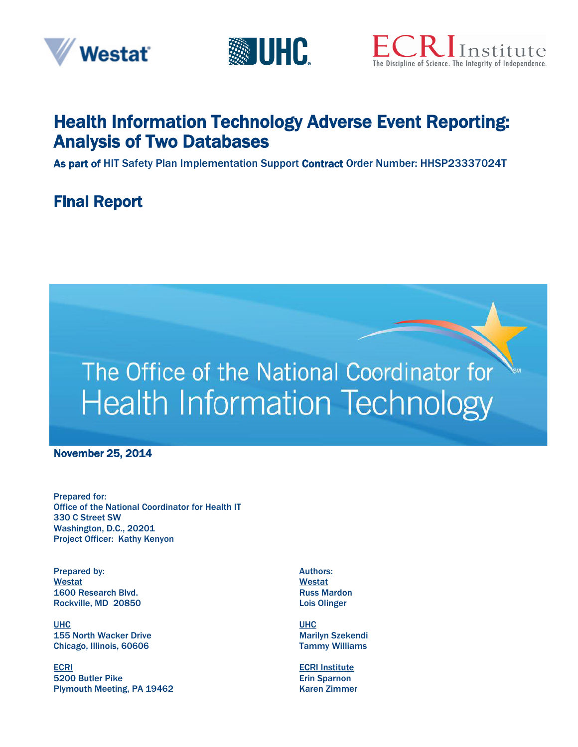





# Health Information Technology Adverse Event Reporting: Analysis of Two Databases

As part of HIT Safety Plan Implementation Support Contract Order Number: HHSP23337024T

# Final Report



November 25, 2014

Prepared for: Office of the National Coordinator for Health IT 330 C Street SW Washington, D.C., 20201 Project Officer: Kathy Kenyon

Prepared by: Westat 1600 Research Blvd. Rockville, MD 20850

UHC 155 North Wacker Drive Chicago, Illinois, 60606

ECRI 5200 Butler Pike Plymouth Meeting, PA 19462 Authors: Westat Russ Mardon Lois Olinger

UHC Marilyn Szekendi Tammy Williams

ECRI Institute Erin Sparnon Karen Zimmer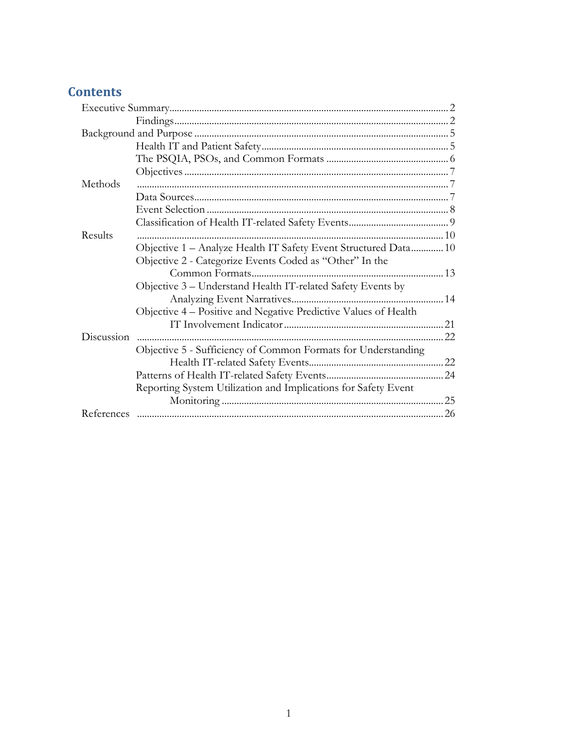# **Contents**

| Methods    |                                                                 |  |
|------------|-----------------------------------------------------------------|--|
|            |                                                                 |  |
|            |                                                                 |  |
|            |                                                                 |  |
| Results    |                                                                 |  |
|            | Objective 1 - Analyze Health IT Safety Event Structured Data 10 |  |
|            | Objective 2 - Categorize Events Coded as "Other" In the         |  |
|            |                                                                 |  |
|            | Objective 3 – Understand Health IT-related Safety Events by     |  |
|            |                                                                 |  |
|            | Objective 4 – Positive and Negative Predictive Values of Health |  |
|            |                                                                 |  |
| Discussion |                                                                 |  |
|            | Objective 5 - Sufficiency of Common Formats for Understanding   |  |
|            |                                                                 |  |
|            |                                                                 |  |
|            | Reporting System Utilization and Implications for Safety Event  |  |
|            |                                                                 |  |
|            |                                                                 |  |
|            |                                                                 |  |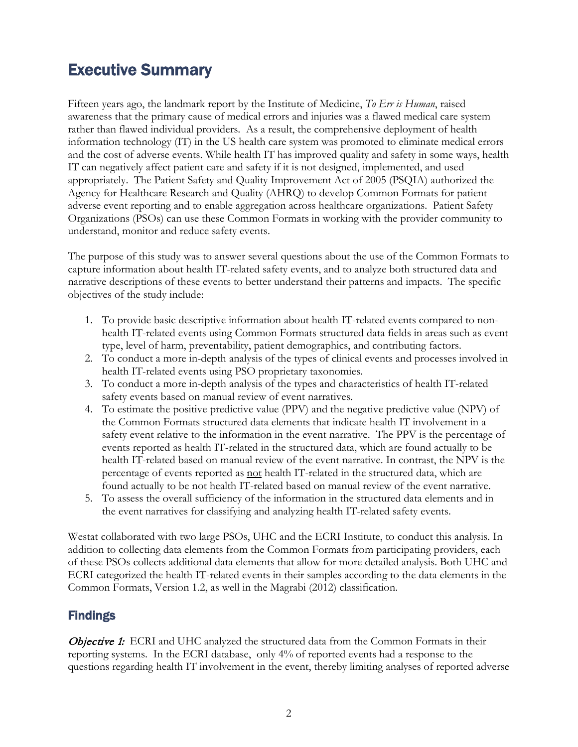# <span id="page-2-0"></span>Executive Summary

Fifteen years ago, the landmark report by the Institute of Medicine, *To Err is Human*, raised awareness that the primary cause of medical errors and injuries was a flawed medical care system rather than flawed individual providers. As a result, the comprehensive deployment of health information technology (IT) in the US health care system was promoted to eliminate medical errors and the cost of adverse events. While health IT has improved quality and safety in some ways, health IT can negatively affect patient care and safety if it is not designed, implemented, and used appropriately. The Patient Safety and Quality Improvement Act of 2005 (PSQIA) authorized the Agency for Healthcare Research and Quality (AHRQ) to develop Common Formats for patient adverse event reporting and to enable aggregation across healthcare organizations. Patient Safety Organizations (PSOs) can use these Common Formats in working with the provider community to understand, monitor and reduce safety events.

The purpose of this study was to answer several questions about the use of the Common Formats to capture information about health IT-related safety events, and to analyze both structured data and narrative descriptions of these events to better understand their patterns and impacts. The specific objectives of the study include:

- 1. To provide basic descriptive information about health IT-related events compared to nonhealth IT-related events using Common Formats structured data fields in areas such as event type, level of harm, preventability, patient demographics, and contributing factors.
- 2. To conduct a more in-depth analysis of the types of clinical events and processes involved in health IT-related events using PSO proprietary taxonomies.
- 3. To conduct a more in-depth analysis of the types and characteristics of health IT-related safety events based on manual review of event narratives.
- 4. To estimate the positive predictive value (PPV) and the negative predictive value (NPV) of the Common Formats structured data elements that indicate health IT involvement in a safety event relative to the information in the event narrative. The PPV is the percentage of events reported as health IT-related in the structured data, which are found actually to be health IT-related based on manual review of the event narrative. In contrast, the NPV is the percentage of events reported as not health IT-related in the structured data, which are found actually to be not health IT-related based on manual review of the event narrative.
- 5. To assess the overall sufficiency of the information in the structured data elements and in the event narratives for classifying and analyzing health IT-related safety events.

Westat collaborated with two large PSOs, UHC and the ECRI Institute, to conduct this analysis. In addition to collecting data elements from the Common Formats from participating providers, each of these PSOs collects additional data elements that allow for more detailed analysis. Both UHC and ECRI categorized the health IT-related events in their samples according to the data elements in the Common Formats, Version 1.2, as well in the Magrabi (2012) classification.

### <span id="page-2-1"></span>Findings

**Objective 1:** ECRI and UHC analyzed the structured data from the Common Formats in their reporting systems. In the ECRI database, only 4% of reported events had a response to the questions regarding health IT involvement in the event, thereby limiting analyses of reported adverse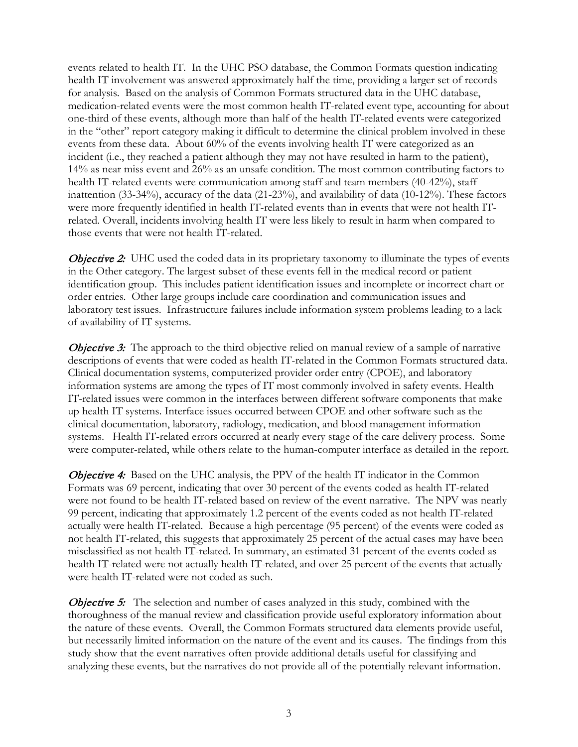events related to health IT. In the UHC PSO database, the Common Formats question indicating health IT involvement was answered approximately half the time, providing a larger set of records for analysis. Based on the analysis of Common Formats structured data in the UHC database, medication-related events were the most common health IT-related event type, accounting for about one-third of these events, although more than half of the health IT-related events were categorized in the "other" report category making it difficult to determine the clinical problem involved in these events from these data. About 60% of the events involving health IT were categorized as an incident (i.e., they reached a patient although they may not have resulted in harm to the patient), 14% as near miss event and 26% as an unsafe condition. The most common contributing factors to health IT-related events were communication among staff and team members (40-42%), staff inattention (33-34%), accuracy of the data (21-23%), and availability of data (10-12%). These factors were more frequently identified in health IT-related events than in events that were not health ITrelated. Overall, incidents involving health IT were less likely to result in harm when compared to those events that were not health IT-related.

**Objective 2:** UHC used the coded data in its proprietary taxonomy to illuminate the types of events in the Other category. The largest subset of these events fell in the medical record or patient identification group. This includes patient identification issues and incomplete or incorrect chart or order entries. Other large groups include care coordination and communication issues and laboratory test issues. Infrastructure failures include information system problems leading to a lack of availability of IT systems.

**Objective 3:** The approach to the third objective relied on manual review of a sample of narrative descriptions of events that were coded as health IT-related in the Common Formats structured data. Clinical documentation systems, computerized provider order entry (CPOE), and laboratory information systems are among the types of IT most commonly involved in safety events. Health IT-related issues were common in the interfaces between different software components that make up health IT systems. Interface issues occurred between CPOE and other software such as the clinical documentation, laboratory, radiology, medication, and blood management information systems. Health IT-related errors occurred at nearly every stage of the care delivery process. Some were computer-related, while others relate to the human-computer interface as detailed in the report.

**Objective 4:** Based on the UHC analysis, the PPV of the health IT indicator in the Common Formats was 69 percent, indicating that over 30 percent of the events coded as health IT-related were not found to be health IT-related based on review of the event narrative. The NPV was nearly 99 percent, indicating that approximately 1.2 percent of the events coded as not health IT-related actually were health IT-related. Because a high percentage (95 percent) of the events were coded as not health IT-related, this suggests that approximately 25 percent of the actual cases may have been misclassified as not health IT-related. In summary, an estimated 31 percent of the events coded as health IT-related were not actually health IT-related, and over 25 percent of the events that actually were health IT-related were not coded as such.

**Objective 5:** The selection and number of cases analyzed in this study, combined with the thoroughness of the manual review and classification provide useful exploratory information about the nature of these events. Overall, the Common Formats structured data elements provide useful, but necessarily limited information on the nature of the event and its causes. The findings from this study show that the event narratives often provide additional details useful for classifying and analyzing these events, but the narratives do not provide all of the potentially relevant information.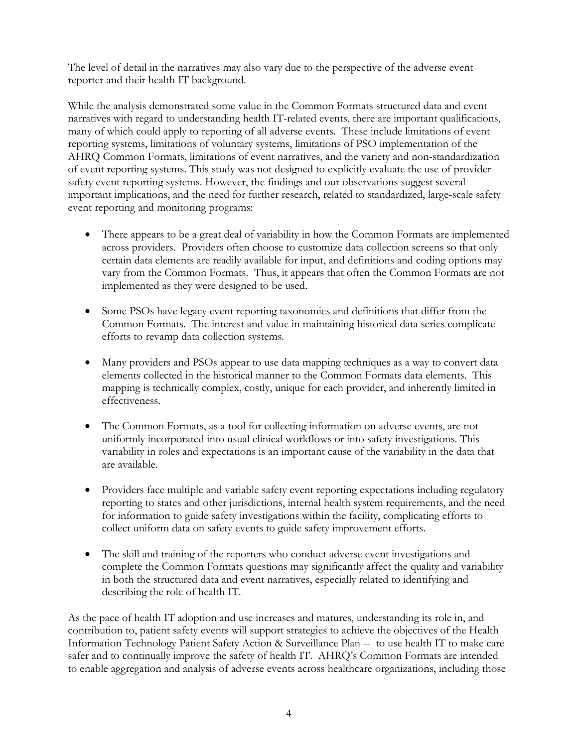The level of detail in the narratives may also vary due to the perspective of the adverse event reporter and their health IT background.

While the analysis demonstrated some value in the Common Formats structured data and event narratives with regard to understanding health IT-related events, there are important qualifications, many of which could apply to reporting of all adverse events. These include limitations of event reporting systems, limitations of voluntary systems, limitations of PSO implementation of the AHRQ Common Formats, limitations of event narratives, and the variety and non-standardization of event reporting systems. This study was not designed to explicitly evaluate the use of provider safety event reporting systems. However, the findings and our observations suggest several important implications, and the need for further research, related to standardized, large-scale safety event reporting and monitoring programs:

- There appears to be a great deal of variability in how the Common Formats are implemented across providers. Providers often choose to customize data collection screens so that only certain data elements are readily available for input, and definitions and coding options may vary from the Common Formats. Thus, it appears that often the Common Formats are not implemented as they were designed to be used.
- Some PSOs have legacy event reporting taxonomies and definitions that differ from the Common Formats. The interest and value in maintaining historical data series complicate efforts to revamp data collection systems.
- Many providers and PSOs appear to use data mapping techniques as a way to convert data elements collected in the historical manner to the Common Formats data elements. This mapping is technically complex, costly, unique for each provider, and inherently limited in effectiveness.
- The Common Formats, as a tool for collecting information on adverse events, are not uniformly incorporated into usual clinical workflows or into safety investigations. This variability in roles and expectations is an important cause of the variability in the data that are available.
- Providers face multiple and variable safety event reporting expectations including regulatory reporting to states and other jurisdictions, internal health system requirements, and the need for information to guide safety investigations within the facility, complicating efforts to collect uniform data on safety events to guide safety improvement efforts.
- The skill and training of the reporters who conduct adverse event investigations and complete the Common Formats questions may significantly affect the quality and variability in both the structured data and event narratives, especially related to identifying and describing the role of health IT.

As the pace of health IT adoption and use increases and matures, understanding its role in, and contribution to, patient safety events will support strategies to achieve the objectives of the Health Information Technology Patient Safety Action & Surveillance Plan -- to use health IT to make care safer and to continually improve the safety of health IT. AHRQ's Common Formats are intended to enable aggregation and analysis of adverse events across healthcare organizations, including those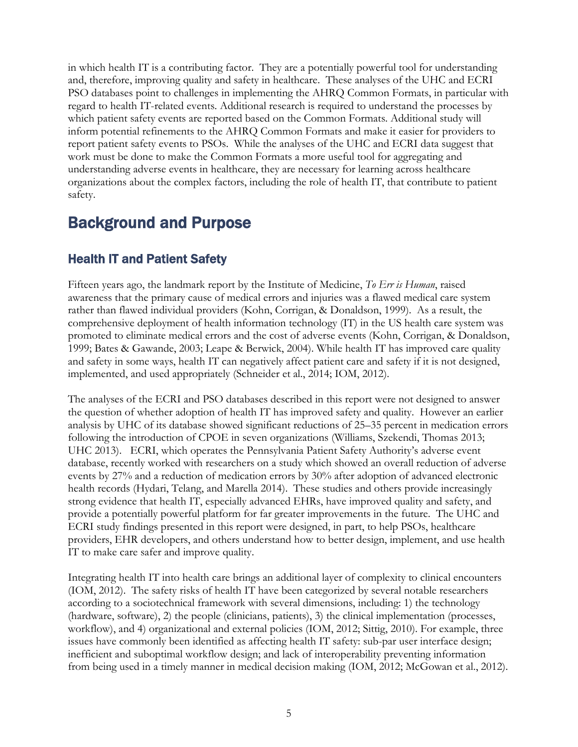in which health IT is a contributing factor. They are a potentially powerful tool for understanding and, therefore, improving quality and safety in healthcare. These analyses of the UHC and ECRI PSO databases point to challenges in implementing the AHRQ Common Formats, in particular with regard to health IT-related events. Additional research is required to understand the processes by which patient safety events are reported based on the Common Formats. Additional study will inform potential refinements to the AHRQ Common Formats and make it easier for providers to report patient safety events to PSOs. While the analyses of the UHC and ECRI data suggest that work must be done to make the Common Formats a more useful tool for aggregating and understanding adverse events in healthcare, they are necessary for learning across healthcare organizations about the complex factors, including the role of health IT, that contribute to patient safety.

# <span id="page-5-0"></span>Background and Purpose

## <span id="page-5-1"></span>Health IT and Patient Safety

Fifteen years ago, the landmark report by the Institute of Medicine, *To Err is Human*, raised awareness that the primary cause of medical errors and injuries was a flawed medical care system rather than flawed individual providers (Kohn, Corrigan, & Donaldson, 1999). As a result, the comprehensive deployment of health information technology (IT) in the US health care system was promoted to eliminate medical errors and the cost of adverse events (Kohn, Corrigan, & Donaldson, 1999; Bates & Gawande, 2003; Leape & Berwick, 2004). While health IT has improved care quality and safety in some ways, health IT can negatively affect patient care and safety if it is not designed, implemented, and used appropriately (Schneider et al., 2014; IOM, 2012).

The analyses of the ECRI and PSO databases described in this report were not designed to answer the question of whether adoption of health IT has improved safety and quality. However an earlier analysis by UHC of its database showed significant reductions of 25–35 percent in medication errors following the introduction of CPOE in seven organizations (Williams, Szekendi, Thomas 2013; UHC 2013). ECRI, which operates the Pennsylvania Patient Safety Authority's adverse event database, recently worked with researchers on a study which showed an overall reduction of adverse events by 27% and a reduction of medication errors by 30% after adoption of advanced electronic health records (Hydari, Telang, and Marella 2014). These studies and others provide increasingly strong evidence that health IT, especially advanced EHRs, have improved quality and safety, and provide a potentially powerful platform for far greater improvements in the future. The UHC and ECRI study findings presented in this report were designed, in part, to help PSOs, healthcare providers, EHR developers, and others understand how to better design, implement, and use health IT to make care safer and improve quality.

Integrating health IT into health care brings an additional layer of complexity to clinical encounters (IOM, 2012). The safety risks of health IT have been categorized by several notable researchers according to a sociotechnical framework with several dimensions, including: 1) the technology (hardware, software), 2) the people (clinicians, patients), 3) the clinical implementation (processes, workflow), and 4) organizational and external policies (IOM, 2012; Sittig, 2010). For example, three issues have commonly been identified as affecting health IT safety: sub-par user interface design; inefficient and suboptimal workflow design; and lack of interoperability preventing information from being used in a timely manner in medical decision making (IOM, 2012; McGowan et al., 2012).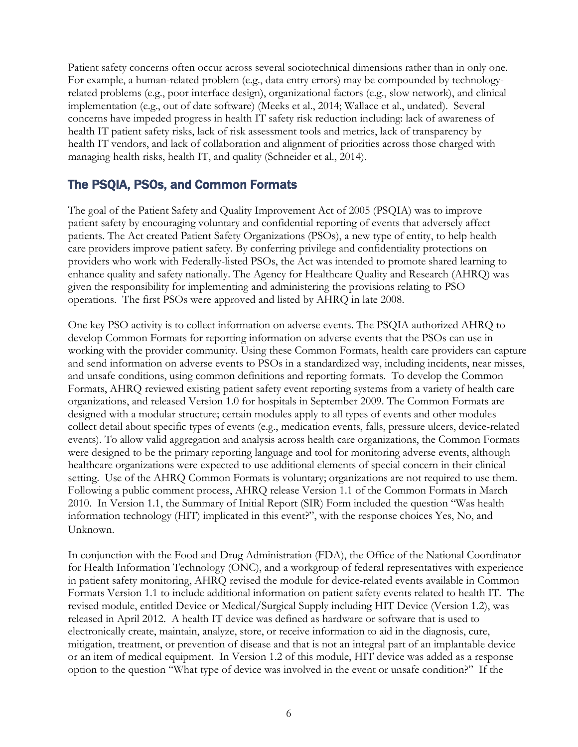Patient safety concerns often occur across several sociotechnical dimensions rather than in only one. For example, a human-related problem (e.g., data entry errors) may be compounded by technologyrelated problems (e.g., poor interface design), organizational factors (e.g., slow network), and clinical implementation (e.g., out of date software) (Meeks et al., 2014; Wallace et al., undated). Several concerns have impeded progress in health IT safety risk reduction including: lack of awareness of health IT patient safety risks, lack of risk assessment tools and metrics, lack of transparency by health IT vendors, and lack of collaboration and alignment of priorities across those charged with managing health risks, health IT, and quality (Schneider et al., 2014).

### <span id="page-6-0"></span>The PSQIA, PSOs, and Common Formats

The goal of the Patient Safety and Quality Improvement Act of 2005 (PSQIA) was to improve patient safety by encouraging voluntary and confidential reporting of events that adversely affect patients. The Act created Patient Safety Organizations (PSOs), a new type of entity, to help health care providers improve patient safety. By conferring privilege and confidentiality protections on providers who work with Federally-listed PSOs, the Act was intended to promote shared learning to enhance quality and safety nationally. The Agency for Healthcare Quality and Research (AHRQ) was given the responsibility for implementing and administering the provisions relating to PSO operations. The first PSOs were approved and listed by AHRQ in late 2008.

One key PSO activity is to collect information on adverse events. The PSQIA authorized AHRQ to develop Common Formats for reporting information on adverse events that the PSOs can use in working with the provider community. Using these Common Formats, health care providers can capture and send information on adverse events to PSOs in a standardized way, including incidents, near misses, and unsafe conditions, using common definitions and reporting formats. To develop the Common Formats, AHRQ reviewed existing patient safety event reporting systems from a variety of health care organizations, and released Version 1.0 for hospitals in September 2009. The Common Formats are designed with a modular structure; certain modules apply to all types of events and other modules collect detail about specific types of events (e.g., medication events, falls, pressure ulcers, device-related events). To allow valid aggregation and analysis across health care organizations, the Common Formats were designed to be the primary reporting language and tool for monitoring adverse events, although healthcare organizations were expected to use additional elements of special concern in their clinical setting. Use of the AHRQ Common Formats is voluntary; organizations are not required to use them. Following a public comment process, AHRQ release Version 1.1 of the Common Formats in March 2010. In Version 1.1, the Summary of Initial Report (SIR) Form included the question "Was health information technology (HIT) implicated in this event?", with the response choices Yes, No, and Unknown.

In conjunction with the Food and Drug Administration (FDA), the Office of the National Coordinator for Health Information Technology (ONC), and a workgroup of federal representatives with experience in patient safety monitoring, AHRQ revised the module for device-related events available in Common Formats Version 1.1 to include additional information on patient safety events related to health IT. The revised module, entitled Device or Medical/Surgical Supply including HIT Device (Version 1.2), was released in April 2012. A health IT device was defined as hardware or software that is used to electronically create, maintain, analyze, store, or receive information to aid in the diagnosis, cure, mitigation, treatment, or prevention of disease and that is not an integral part of an implantable device or an item of medical equipment. In Version 1.2 of this module, HIT device was added as a response option to the question "What type of device was involved in the event or unsafe condition?" If the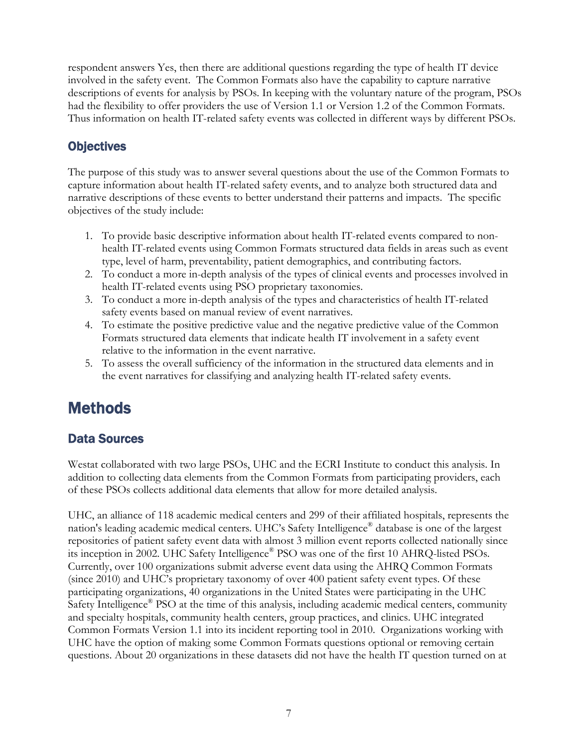respondent answers Yes, then there are additional questions regarding the type of health IT device involved in the safety event. The Common Formats also have the capability to capture narrative descriptions of events for analysis by PSOs. In keeping with the voluntary nature of the program, PSOs had the flexibility to offer providers the use of Version 1.1 or Version 1.2 of the Common Formats. Thus information on health IT-related safety events was collected in different ways by different PSOs.

### <span id="page-7-0"></span>**Objectives**

The purpose of this study was to answer several questions about the use of the Common Formats to capture information about health IT-related safety events, and to analyze both structured data and narrative descriptions of these events to better understand their patterns and impacts. The specific objectives of the study include:

- 1. To provide basic descriptive information about health IT-related events compared to nonhealth IT-related events using Common Formats structured data fields in areas such as event type, level of harm, preventability, patient demographics, and contributing factors.
- 2. To conduct a more in-depth analysis of the types of clinical events and processes involved in health IT-related events using PSO proprietary taxonomies.
- 3. To conduct a more in-depth analysis of the types and characteristics of health IT-related safety events based on manual review of event narratives.
- 4. To estimate the positive predictive value and the negative predictive value of the Common Formats structured data elements that indicate health IT involvement in a safety event relative to the information in the event narrative.
- 5. To assess the overall sufficiency of the information in the structured data elements and in the event narratives for classifying and analyzing health IT-related safety events.

# <span id="page-7-1"></span>**Methods**

### <span id="page-7-2"></span>Data Sources

Westat collaborated with two large PSOs, UHC and the ECRI Institute to conduct this analysis. In addition to collecting data elements from the Common Formats from participating providers, each of these PSOs collects additional data elements that allow for more detailed analysis.

UHC, an alliance of 118 academic medical centers and 299 of their affiliated hospitals, represents the nation's leading academic medical centers. UHC's Safety Intelligence® database is one of the largest repositories of patient safety event data with almost 3 million event reports collected nationally since its inception in 2002. UHC Safety Intelligence® PSO was one of the first 10 AHRQ-listed PSOs. Currently, over 100 organizations submit adverse event data using the AHRQ Common Formats (since 2010) and UHC's proprietary taxonomy of over 400 patient safety event types. Of these participating organizations, 40 organizations in the United States were participating in the UHC Safety Intelligence® PSO at the time of this analysis, including academic medical centers, community and specialty hospitals, community health centers, group practices, and clinics. UHC integrated Common Formats Version 1.1 into its incident reporting tool in 2010. Organizations working with UHC have the option of making some Common Formats questions optional or removing certain questions. About 20 organizations in these datasets did not have the health IT question turned on at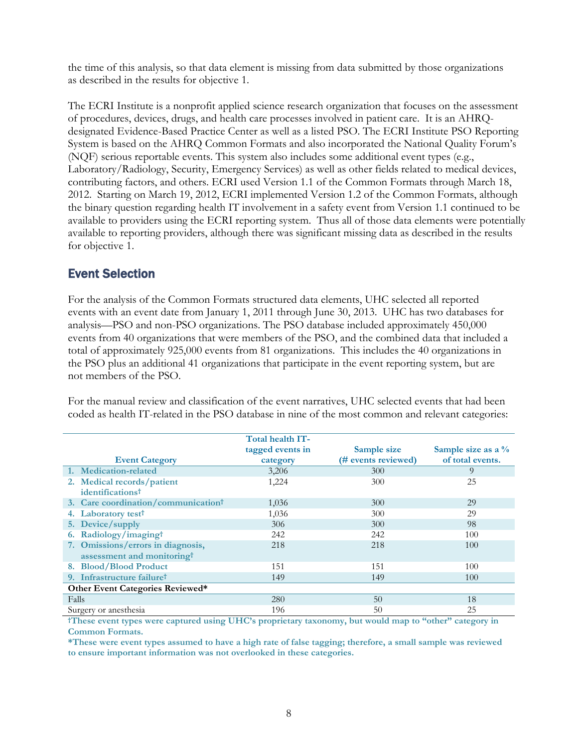the time of this analysis, so that data element is missing from data submitted by those organizations as described in the results for objective 1.

The ECRI Institute is a nonprofit applied science research organization that focuses on the assessment of procedures, devices, drugs, and health care processes involved in patient care. It is an AHRQdesignated Evidence-Based Practice Center as well as a listed PSO. The ECRI Institute PSO Reporting System is based on the AHRQ Common Formats and also incorporated the National Quality Forum's (NQF) serious reportable events. This system also includes some additional event types (e.g., Laboratory/Radiology, Security, Emergency Services) as well as other fields related to medical devices, contributing factors, and others. ECRI used Version 1.1 of the Common Formats through March 18, 2012. Starting on March 19, 2012, ECRI implemented Version 1.2 of the Common Formats, although the binary question regarding health IT involvement in a safety event from Version 1.1 continued to be available to providers using the ECRI reporting system. Thus all of those data elements were potentially available to reporting providers, although there was significant missing data as described in the results for objective 1.

### <span id="page-8-0"></span>Event Selection

For the analysis of the Common Formats structured data elements, UHC selected all reported events with an event date from January 1, 2011 through June 30, 2013. UHC has two databases for analysis—PSO and non-PSO organizations. The PSO database included approximately 450,000 events from 40 organizations that were members of the PSO, and the combined data that included a total of approximately 925,000 events from 81 organizations. This includes the 40 organizations in the PSO plus an additional 41 organizations that participate in the event reporting system, but are not members of the PSO.

For the manual review and classification of the event narratives, UHC selected events that had been coded as health IT-related in the PSO database in nine of the most common and relevant categories:

| <b>Event Category</b>                           | Total health IT-<br>tagged events in<br>category | Sample size<br>(# events reviewed) | Sample size as a $\%$<br>of total events. |  |  |
|-------------------------------------------------|--------------------------------------------------|------------------------------------|-------------------------------------------|--|--|
| 1. Medication-related                           | 3,206                                            | 300                                | 9                                         |  |  |
| 2. Medical records/patient                      | 1,224                                            | 300                                | 25                                        |  |  |
| identificationst                                |                                                  |                                    |                                           |  |  |
| 3. Care coordination/communication <sup>†</sup> | 1,036                                            | 300                                | 29                                        |  |  |
| 4. Laboratory test <sup>†</sup>                 | 1,036                                            | 300                                | 29                                        |  |  |
| 5. Device/supply                                | 306                                              | 300                                | 98                                        |  |  |
| 6. Radiology/imagingt                           | 242                                              | 242                                | 100                                       |  |  |
| 7. Omissions/errors in diagnosis,               | 218                                              | 218                                | 100                                       |  |  |
| assessment and monitoring <sup>t</sup>          |                                                  |                                    |                                           |  |  |
| 8. Blood/Blood Product                          | 151                                              | 151                                | 100                                       |  |  |
| 9. Infrastructure failure <sup>†</sup>          | 149                                              | 149                                | 100                                       |  |  |
| Other Event Categories Reviewed*                |                                                  |                                    |                                           |  |  |
| Falls                                           | 280                                              | 50                                 | 18                                        |  |  |
| Surgery or anesthesia                           | 196                                              | 50                                 | 25                                        |  |  |

**†These event types were captured using UHC's proprietary taxonomy, but would map to "other" category in Common Formats.** 

**\*These were event types assumed to have a high rate of false tagging; therefore, a small sample was reviewed to ensure important information was not overlooked in these categories.**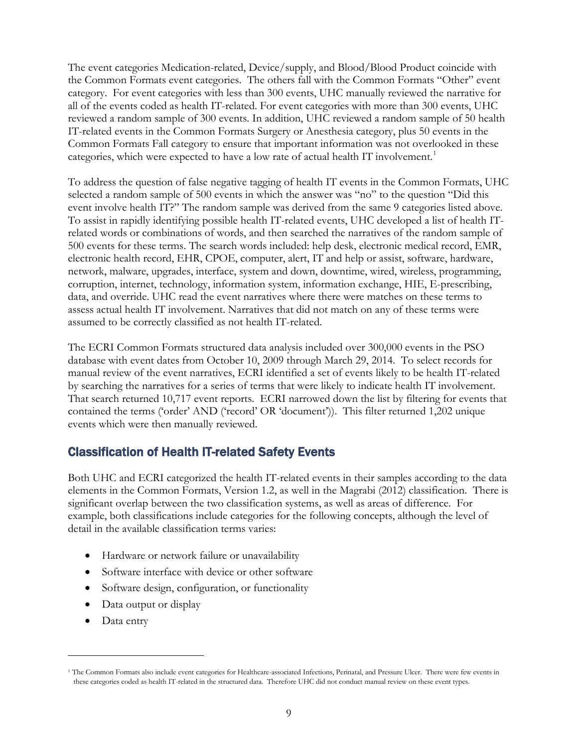The event categories Medication-related, Device/supply, and Blood/Blood Product coincide with the Common Formats event categories. The others fall with the Common Formats "Other" event category. For event categories with less than 300 events, UHC manually reviewed the narrative for all of the events coded as health IT-related. For event categories with more than 300 events, UHC reviewed a random sample of 300 events. In addition, UHC reviewed a random sample of 50 health IT-related events in the Common Formats Surgery or Anesthesia category, plus 50 events in the Common Formats Fall category to ensure that important information was not overlooked in these categories, which were expected to have a low rate of actual health IT involvement.<sup>[1](#page-9-1)</sup>

To address the question of false negative tagging of health IT events in the Common Formats, UHC selected a random sample of 500 events in which the answer was "no" to the question "Did this event involve health IT?" The random sample was derived from the same 9 categories listed above. To assist in rapidly identifying possible health IT-related events, UHC developed a list of health ITrelated words or combinations of words, and then searched the narratives of the random sample of 500 events for these terms. The search words included: help desk, electronic medical record, EMR, electronic health record, EHR, CPOE, computer, alert, IT and help or assist, software, hardware, network, malware, upgrades, interface, system and down, downtime, wired, wireless, programming, corruption, internet, technology, information system, information exchange, HIE, E-prescribing, data, and override. UHC read the event narratives where there were matches on these terms to assess actual health IT involvement. Narratives that did not match on any of these terms were assumed to be correctly classified as not health IT-related.

The ECRI Common Formats structured data analysis included over 300,000 events in the PSO database with event dates from October 10, 2009 through March 29, 2014. To select records for manual review of the event narratives, ECRI identified a set of events likely to be health IT-related by searching the narratives for a series of terms that were likely to indicate health IT involvement. That search returned 10,717 event reports. ECRI narrowed down the list by filtering for events that contained the terms ('order' AND ('record' OR 'document')). This filter returned 1,202 unique events which were then manually reviewed.

### <span id="page-9-0"></span>Classification of Health IT-related Safety Events

Both UHC and ECRI categorized the health IT-related events in their samples according to the data elements in the Common Formats, Version 1.2, as well in the Magrabi (2012) classification. There is significant overlap between the two classification systems, as well as areas of difference. For example, both classifications include categories for the following concepts, although the level of detail in the available classification terms varies:

- Hardware or network failure or unavailability
- Software interface with device or other software
- Software design, configuration, or functionality
- Data output or display
- Data entry

 $\overline{a}$ 

<span id="page-9-1"></span><sup>&</sup>lt;sup>1</sup> The Common Formats also include event categories for Healthcare-associated Infections, Perinatal, and Pressure Ulcer. There were few events in these categories coded as health IT-related in the structured data. Therefore UHC did not conduct manual review on these event types.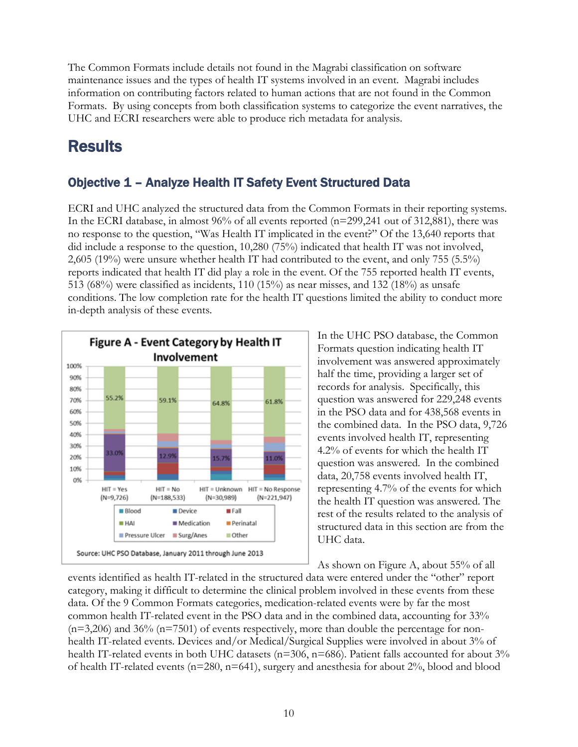The Common Formats include details not found in the Magrabi classification on software maintenance issues and the types of health IT systems involved in an event. Magrabi includes information on contributing factors related to human actions that are not found in the Common Formats. By using concepts from both classification systems to categorize the event narratives, the UHC and ECRI researchers were able to produce rich metadata for analysis.

# <span id="page-10-0"></span>**Results**

### <span id="page-10-1"></span>Objective 1 – Analyze Health IT Safety Event Structured Data

ECRI and UHC analyzed the structured data from the Common Formats in their reporting systems. In the ECRI database, in almost 96% of all events reported (n=299,241 out of 312,881), there was no response to the question, "Was Health IT implicated in the event?" Of the 13,640 reports that did include a response to the question, 10,280 (75%) indicated that health IT was not involved, 2,605 (19%) were unsure whether health IT had contributed to the event, and only 755 (5.5%) reports indicated that health IT did play a role in the event. Of the 755 reported health IT events, 513 (68%) were classified as incidents, 110 (15%) as near misses, and 132 (18%) as unsafe conditions. The low completion rate for the health IT questions limited the ability to conduct more in-depth analysis of these events.



In the UHC PSO database, the Common Formats question indicating health IT involvement was answered approximately half the time, providing a larger set of records for analysis. Specifically, this question was answered for 229,248 events in the PSO data and for 438,568 events in the combined data. In the PSO data, 9,726 events involved health IT, representing 4.2% of events for which the health IT question was answered. In the combined data, 20,758 events involved health IT, representing 4.7% of the events for which the health IT question was answered. The rest of the results related to the analysis of structured data in this section are from the UHC data.

As shown on Figure A, about 55% of all

events identified as health IT-related in the structured data were entered under the "other" report category, making it difficult to determine the clinical problem involved in these events from these data. Of the 9 Common Formats categories, medication-related events were by far the most common health IT-related event in the PSO data and in the combined data, accounting for 33%  $(n=3,206)$  and  $36\%$   $(n=7501)$  of events respectively, more than double the percentage for nonhealth IT-related events. Devices and/or Medical/Surgical Supplies were involved in about 3% of health IT-related events in both UHC datasets (n=306, n=686). Patient falls accounted for about 3% of health IT-related events (n=280, n=641), surgery and anesthesia for about 2%, blood and blood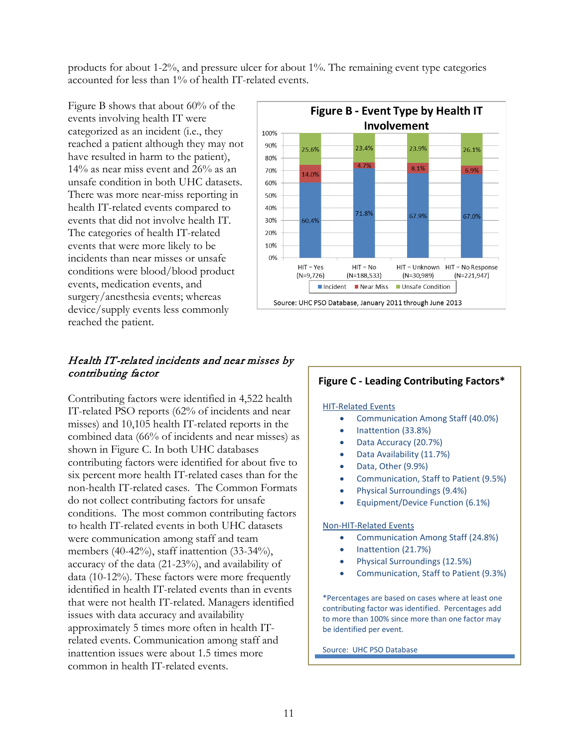products for about 1-2%, and pressure ulcer for about 1%. The remaining event type categories accounted for less than 1% of health IT-related events.

Figure B shows that about 60% of the events involving health IT were categorized as an incident (i.e., they reached a patient although they may not have resulted in harm to the patient), 14% as near miss event and 26% as an unsafe condition in both UHC datasets. There was more near-miss reporting in health IT-related events compared to events that did not involve health IT. The categories of health IT-related events that were more likely to be incidents than near misses or unsafe conditions were blood/blood product events, medication events, and surgery/anesthesia events; whereas device/supply events less commonly reached the patient.



Contributing factors were identified in 4,522 health IT-related PSO reports (62% of incidents and near misses) and 10,105 health IT-related reports in the combined data (66% of incidents and near misses) as shown in Figure C. In both UHC databases contributing factors were identified for about five to six percent more health IT-related cases than for the non-health IT-related cases. The Common Formats do not collect contributing factors for unsafe conditions. The most common contributing factors to health IT-related events in both UHC datasets were communication among staff and team members (40-42%), staff inattention (33-34%), accuracy of the data (21-23%), and availability of data (10-12%). These factors were more frequently identified in health IT-related events than in events that were not health IT-related. Managers identified issues with data accuracy and availability approximately 5 times more often in health ITrelated events. Communication among staff and inattention issues were about 1.5 times more common in health IT-related events.



#### **Figure C - Leading Contributing Factors\***

#### HIT-Related Events

- Communication Among Staff (40.0%)
- Inattention (33.8%)
- Data Accuracy (20.7%)
- Data Availability (11.7%)
- Data, Other (9.9%)
- Communication, Staff to Patient (9.5%)
- Physical Surroundings (9.4%)
- Equipment/Device Function (6.1%)

#### Non-HIT-Related Events

- Communication Among Staff (24.8%)
- Inattention (21.7%)
- Physical Surroundings (12.5%)
- Communication, Staff to Patient (9.3%)

\*Percentages are based on cases where at least one contributing factor was identified. Percentages add to more than 100% since more than one factor may be identified per event.

Source: UHC PSO Database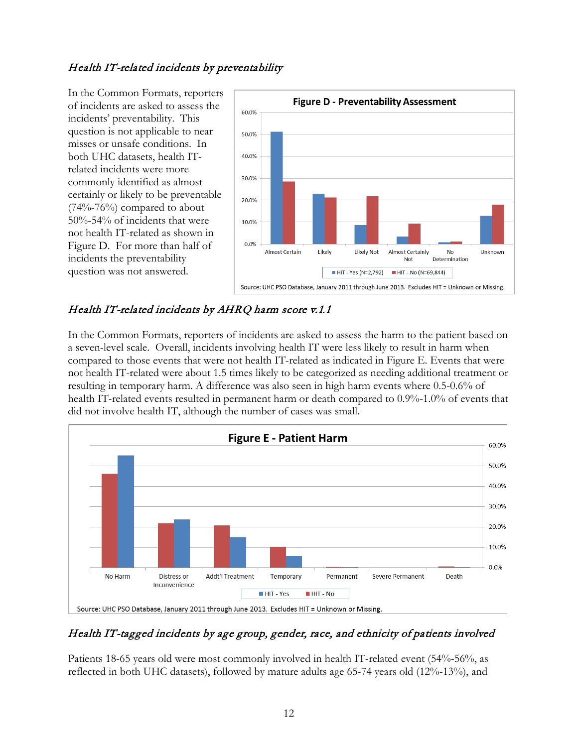#### Health IT-related incidents by preventability

In the Common Formats, reporters of incidents are asked to assess the incidents' preventability. This question is not applicable to near misses or unsafe conditions. In both UHC datasets, health ITrelated incidents were more commonly identified as almost certainly or likely to be preventable (74%-76%) compared to about 50%-54% of incidents that were not health IT-related as shown in Figure D. For more than half of incidents the preventability question was not answered.



### Health IT-related incidents by AHRQ harm score v.1.1

In the Common Formats, reporters of incidents are asked to assess the harm to the patient based on a seven-level scale. Overall, incidents involving health IT were less likely to result in harm when compared to those events that were not health IT-related as indicated in Figure E. Events that were not health IT-related were about 1.5 times likely to be categorized as needing additional treatment or resulting in temporary harm. A difference was also seen in high harm events where 0.5-0.6% of health IT-related events resulted in permanent harm or death compared to 0.9%-1.0% of events that did not involve health IT, although the number of cases was small.



### Health IT-tagged incidents by age group, gender, race, and ethnicity of patients involved

Patients 18-65 years old were most commonly involved in health IT-related event (54%-56%, as reflected in both UHC datasets), followed by mature adults age 65-74 years old (12%-13%), and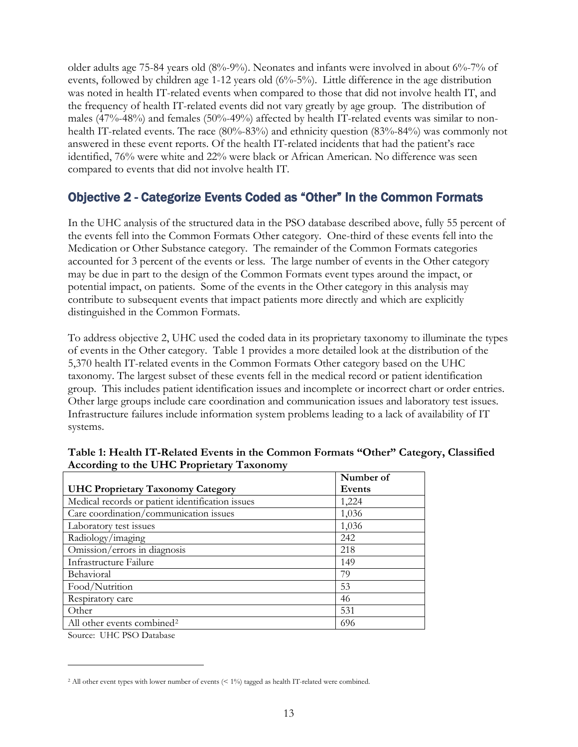older adults age 75-84 years old (8%-9%). Neonates and infants were involved in about 6%-7% of events, followed by children age 1-12 years old (6%-5%). Little difference in the age distribution was noted in health IT-related events when compared to those that did not involve health IT, and the frequency of health IT-related events did not vary greatly by age group. The distribution of males (47%-48%) and females (50%-49%) affected by health IT-related events was similar to nonhealth IT-related events. The race (80%-83%) and ethnicity question (83%-84%) was commonly not answered in these event reports. Of the health IT-related incidents that had the patient's race identified, 76% were white and 22% were black or African American. No difference was seen compared to events that did not involve health IT.

### <span id="page-13-0"></span>Objective 2 - Categorize Events Coded as "Other" In the Common Formats

In the UHC analysis of the structured data in the PSO database described above, fully 55 percent of the events fell into the Common Formats Other category. One-third of these events fell into the Medication or Other Substance category. The remainder of the Common Formats categories accounted for 3 percent of the events or less. The large number of events in the Other category may be due in part to the design of the Common Formats event types around the impact, or potential impact, on patients. Some of the events in the Other category in this analysis may contribute to subsequent events that impact patients more directly and which are explicitly distinguished in the Common Formats.

To address objective 2, UHC used the coded data in its proprietary taxonomy to illuminate the types of events in the Other category. Table 1 provides a more detailed look at the distribution of the 5,370 health IT-related events in the Common Formats Other category based on the UHC taxonomy. The largest subset of these events fell in the medical record or patient identification group. This includes patient identification issues and incomplete or incorrect chart or order entries. Other large groups include care coordination and communication issues and laboratory test issues. Infrastructure failures include information system problems leading to a lack of availability of IT systems.

|                                                   | Number of |
|---------------------------------------------------|-----------|
| <b>UHC Proprietary Taxonomy Category</b>          | Events    |
| Medical records or patient identification issues  | 1,224     |
| Care coordination/communication issues            | 1,036     |
| Laboratory test issues                            | 1,036     |
| Radiology/imaging                                 | 242       |
| $\overline{\text{O}}$ mission/errors in diagnosis | 218       |
| Infrastructure Failure                            | 149       |
| Behavioral                                        | 79        |
| Food/Nutrition                                    | 53        |
| Respiratory care                                  | 46        |
| Other                                             | 531       |
| All other events combined <sup>2</sup>            | 696       |

#### **Table 1: Health IT-Related Events in the Common Formats "Other" Category, Classified According to the UHC Proprietary Taxonomy**

Source: UHC PSO Database

 $\overline{a}$ 

<span id="page-13-1"></span><sup>2</sup> All other event types with lower number of events (< 1%) tagged as health IT-related were combined.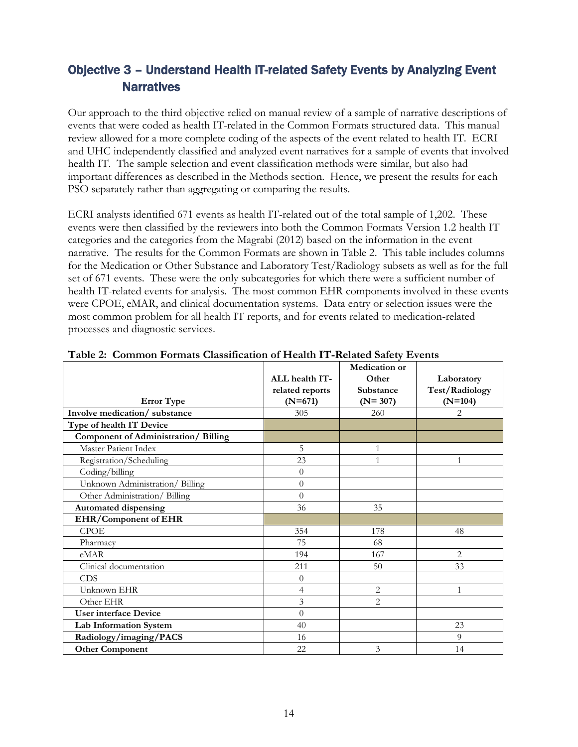## <span id="page-14-0"></span>Objective 3 – Understand Health IT-related Safety Events by Analyzing Event **Narratives**

Our approach to the third objective relied on manual review of a sample of narrative descriptions of events that were coded as health IT-related in the Common Formats structured data. This manual review allowed for a more complete coding of the aspects of the event related to health IT. ECRI and UHC independently classified and analyzed event narratives for a sample of events that involved health IT. The sample selection and event classification methods were similar, but also had important differences as described in the Methods section. Hence, we present the results for each PSO separately rather than aggregating or comparing the results.

ECRI analysts identified 671 events as health IT-related out of the total sample of 1,202. These events were then classified by the reviewers into both the Common Formats Version 1.2 health IT categories and the categories from the Magrabi (2012) based on the information in the event narrative. The results for the Common Formats are shown in Table 2. This table includes columns for the Medication or Other Substance and Laboratory Test/Radiology subsets as well as for the full set of 671 events. These were the only subcategories for which there were a sufficient number of health IT-related events for analysis. The most common EHR components involved in these events were CPOE, eMAR, and clinical documentation systems. Data entry or selection issues were the most common problem for all health IT reports, and for events related to medication-related processes and diagnostic services.

| <b>Error</b> Type                          | ALL health IT-<br>related reports<br>$(N=671)$ | <b>Medication</b> or<br>Other<br>Substance<br>$(N=307)$ | Laboratory<br><b>Test/Radiology</b><br>$(N=104)$ |
|--------------------------------------------|------------------------------------------------|---------------------------------------------------------|--------------------------------------------------|
| Involve medication/substance               | 305                                            | 260                                                     | 2                                                |
| Type of health IT Device                   |                                                |                                                         |                                                  |
| <b>Component of Administration/Billing</b> |                                                |                                                         |                                                  |
| Master Patient Index                       | 5                                              | 1                                                       |                                                  |
| Registration/Scheduling                    | 23                                             |                                                         |                                                  |
| Coding/billing                             | $\theta$                                       |                                                         |                                                  |
| Unknown Administration/ Billing            | $\overline{0}$                                 |                                                         |                                                  |
| Other Administration/ Billing              | $\Omega$                                       |                                                         |                                                  |
| <b>Automated dispensing</b>                | 36                                             | 35                                                      |                                                  |
| <b>EHR/Component of EHR</b>                |                                                |                                                         |                                                  |
| <b>CPOE</b>                                | 354                                            | 178                                                     | 48                                               |
| Pharmacy                                   | 75                                             | 68                                                      |                                                  |
| eMAR                                       | 194                                            | 167                                                     | $\overline{2}$                                   |
| Clinical documentation                     | 211                                            | 50                                                      | 33                                               |
| <b>CDS</b>                                 | $\overline{0}$                                 |                                                         |                                                  |
| Unknown EHR                                | $\overline{4}$                                 | $\overline{2}$                                          | $\mathbf{1}$                                     |
| Other EHR                                  | 3                                              | $\overline{2}$                                          |                                                  |
| <b>User interface Device</b>               | $\theta$                                       |                                                         |                                                  |
| Lab Information System                     | 40                                             |                                                         | 23                                               |
| Radiology/imaging/PACS                     | 16                                             |                                                         | 9                                                |
| <b>Other Component</b>                     | 22                                             | 3                                                       | 14                                               |

|  |  |  |  |  |  | Table 2: Common Formats Classification of Health IT-Related Safety Events |
|--|--|--|--|--|--|---------------------------------------------------------------------------|
|--|--|--|--|--|--|---------------------------------------------------------------------------|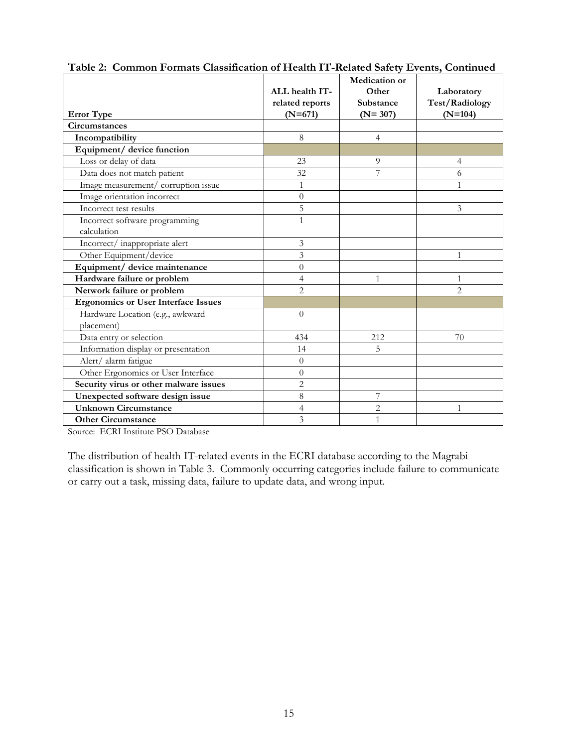|                                                | ALL health IT-<br>related reports | <b>Medication or</b><br>Other<br><b>Substance</b> | Laboratory<br><b>Test/Radiology</b> |
|------------------------------------------------|-----------------------------------|---------------------------------------------------|-------------------------------------|
| <b>Error</b> Type                              | $(N=671)$                         | $(N=307)$                                         | $(N=104)$                           |
| Circumstances                                  |                                   |                                                   |                                     |
| Incompatibility                                | 8                                 | $\overline{4}$                                    |                                     |
| Equipment/ device function                     |                                   |                                                   |                                     |
| Loss or delay of data                          | 23                                | 9                                                 | $\overline{4}$                      |
| Data does not match patient                    | 32                                | 7                                                 | 6                                   |
| Image measurement/ corruption issue            | $\mathbf{1}$                      |                                                   | 1                                   |
| Image orientation incorrect                    | $\theta$                          |                                                   |                                     |
| Incorrect test results                         | 5                                 |                                                   | 3                                   |
| Incorrect software programming<br>calculation  | $\mathbf{1}$                      |                                                   |                                     |
| Incorrect/inappropriate alert                  | $\mathfrak{Z}$                    |                                                   |                                     |
| Other Equipment/device                         | 3                                 |                                                   | 1                                   |
| Equipment/ device maintenance                  | $\overline{0}$                    |                                                   |                                     |
| Hardware failure or problem                    | 4                                 | 1                                                 | 1                                   |
| Network failure or problem                     | $\overline{2}$                    |                                                   | $\overline{2}$                      |
| <b>Ergonomics or User Interface Issues</b>     |                                   |                                                   |                                     |
| Hardware Location (e.g., awkward<br>placement) | $\theta$                          |                                                   |                                     |
| Data entry or selection                        | 434                               | 212                                               | 70                                  |
| Information display or presentation            | 14                                | 5                                                 |                                     |
| Alert/ alarm fatigue                           | $\overline{0}$                    |                                                   |                                     |
| Other Ergonomics or User Interface             | $\theta$                          |                                                   |                                     |
| Security virus or other malware issues         | $\overline{c}$                    |                                                   |                                     |
| Unexpected software design issue               | 8                                 | 7                                                 |                                     |
| <b>Unknown Circumstance</b>                    | 4                                 | $\overline{c}$                                    | 1                                   |
| <b>Other Circumstance</b>                      | $\overline{3}$                    | $\mathbf{1}$                                      |                                     |

**Table 2: Common Formats Classification of Health IT-Related Safety Events, Continued**

Source: ECRI Institute PSO Database

The distribution of health IT-related events in the ECRI database according to the Magrabi classification is shown in Table 3. Commonly occurring categories include failure to communicate or carry out a task, missing data, failure to update data, and wrong input.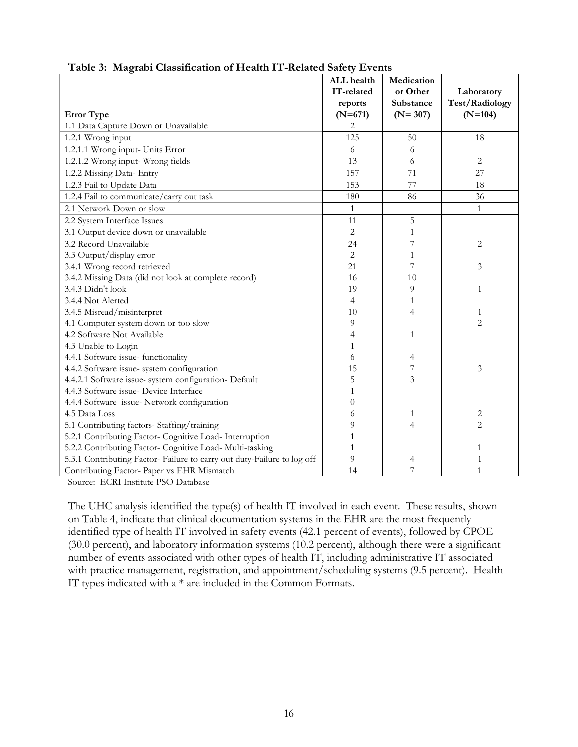|                                                                         | ALL health     | Medication     |                       |
|-------------------------------------------------------------------------|----------------|----------------|-----------------------|
|                                                                         | IT-related     | or Other       | Laboratory            |
|                                                                         | reports        | Substance      | <b>Test/Radiology</b> |
| <b>Error</b> Type                                                       | $(N=671)$      | $(N = 307)$    | $(N=104)$             |
| 1.1 Data Capture Down or Unavailable                                    | 2              |                |                       |
| 1.2.1 Wrong input                                                       | 125            | 50             | 18                    |
| 1.2.1.1 Wrong input- Units Error                                        | 6              | 6              |                       |
| 1.2.1.2 Wrong input- Wrong fields                                       | 13             | 6              | $\overline{c}$        |
| 1.2.2 Missing Data- Entry                                               | 157            | 71             | 27                    |
| 1.2.3 Fail to Update Data                                               | 153            | 77             | 18                    |
| 1.2.4 Fail to communicate/carry out task                                | 180            | 86             | 36                    |
| 2.1 Network Down or slow                                                | 1              |                | $\mathbf{1}$          |
| 2.2 System Interface Issues                                             | 11             | 5              |                       |
| 3.1 Output device down or unavailable                                   | $\overline{c}$ | $\mathbf{1}$   |                       |
| 3.2 Record Unavailable                                                  | 24             | $\overline{7}$ | $\overline{2}$        |
| 3.3 Output/display error                                                | 2              | 1              |                       |
| 3.4.1 Wrong record retrieved                                            | 21             | 7              | 3                     |
| 3.4.2 Missing Data (did not look at complete record)                    | 16             | 10             |                       |
| 3.4.3 Didn't look                                                       | 19             | 9              | $\mathbf{1}$          |
| 3.4.4 Not Alerted                                                       | 4              | $\mathbf{1}$   |                       |
| 3.4.5 Misread/misinterpret                                              | 10             | 4              | 1                     |
| 4.1 Computer system down or too slow                                    | 9              |                | $\overline{2}$        |
| 4.2 Software Not Available                                              | 4              | 1              |                       |
| 4.3 Unable to Login                                                     | 1              |                |                       |
| 4.4.1 Software issue- functionality                                     | 6              | 4              |                       |
| 4.4.2 Software issue- system configuration                              | 15             | 7              | 3                     |
| 4.4.2.1 Software issue- system configuration- Default                   | 5              | 3              |                       |
| 4.4.3 Software issue- Device Interface                                  |                |                |                       |
| 4.4.4 Software issue- Network configuration                             | 0              |                |                       |
| 4.5 Data Loss                                                           | 6              | 1              | 2                     |
| 5.1 Contributing factors- Staffing/training                             | 9              | $\overline{4}$ | $\overline{2}$        |
| 5.2.1 Contributing Factor- Cognitive Load- Interruption                 |                |                |                       |
| 5.2.2 Contributing Factor- Cognitive Load- Multi-tasking                |                |                | 1                     |
| 5.3.1 Contributing Factor- Failure to carry out duty-Failure to log off | 9              | 4              | 1                     |
| Contributing Factor- Paper vs EHR Mismatch                              | 14             | 7              | 1                     |

#### **Table 3: Magrabi Classification of Health IT-Related Safety Events**

Source: ECRI Institute PSO Database

The UHC analysis identified the type(s) of health IT involved in each event. These results, shown on Table 4, indicate that clinical documentation systems in the EHR are the most frequently identified type of health IT involved in safety events (42.1 percent of events), followed by CPOE (30.0 percent), and laboratory information systems (10.2 percent), although there were a significant number of events associated with other types of health IT, including administrative IT associated with practice management, registration, and appointment/scheduling systems (9.5 percent). Health IT types indicated with a \* are included in the Common Formats.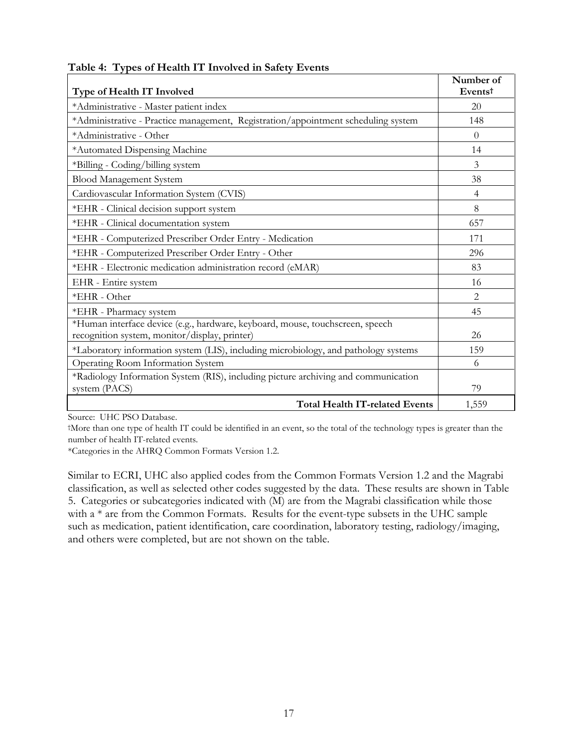| Type of Health IT Involved                                                                                                     | Number of<br>Eventst |
|--------------------------------------------------------------------------------------------------------------------------------|----------------------|
| *Administrative - Master patient index                                                                                         | 20                   |
| *Administrative - Practice management, Registration/appointment scheduling system                                              | 148                  |
| *Administrative - Other                                                                                                        | $\Omega$             |
| *Automated Dispensing Machine                                                                                                  | 14                   |
| *Billing - Coding/billing system                                                                                               | 3                    |
| <b>Blood Management System</b>                                                                                                 | 38                   |
| Cardiovascular Information System (CVIS)                                                                                       | $\overline{4}$       |
| *EHR - Clinical decision support system                                                                                        | 8                    |
| *EHR - Clinical documentation system                                                                                           | 657                  |
| *EHR - Computerized Prescriber Order Entry - Medication                                                                        | 171                  |
| *EHR - Computerized Prescriber Order Entry - Other                                                                             | 296                  |
| *EHR - Electronic medication administration record (eMAR)                                                                      | 83                   |
| EHR - Entire system                                                                                                            | 16                   |
| *EHR - Other                                                                                                                   | $\overline{2}$       |
| *EHR - Pharmacy system                                                                                                         | 45                   |
| *Human interface device (e.g., hardware, keyboard, mouse, touchscreen, speech<br>recognition system, monitor/display, printer) | 26                   |
| *Laboratory information system (LIS), including microbiology, and pathology systems                                            | 159                  |
| Operating Room Information System                                                                                              | 6                    |
| *Radiology Information System (RIS), including picture archiving and communication<br>system (PACS)                            | 79                   |
| <b>Total Health IT-related Events</b>                                                                                          | 1,559                |

#### **Table 4: Types of Health IT Involved in Safety Events**

Source: UHC PSO Database.

†More than one type of health IT could be identified in an event, so the total of the technology types is greater than the number of health IT-related events.

\*Categories in the AHRQ Common Formats Version 1.2.

Similar to ECRI, UHC also applied codes from the Common Formats Version 1.2 and the Magrabi classification, as well as selected other codes suggested by the data. These results are shown in Table 5. Categories or subcategories indicated with (M) are from the Magrabi classification while those with a \* are from the Common Formats. Results for the event-type subsets in the UHC sample such as medication, patient identification, care coordination, laboratory testing, radiology/imaging, and others were completed, but are not shown on the table.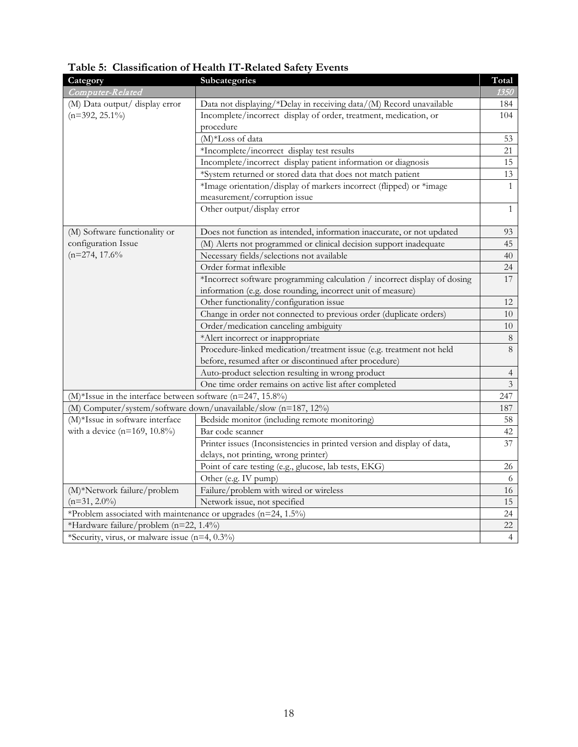| Category                                                                  | Subcategories                                                             | Total          |
|---------------------------------------------------------------------------|---------------------------------------------------------------------------|----------------|
| Computer-Related                                                          |                                                                           | 1350           |
| (M) Data output/ display error                                            | Data not displaying/*Delay in receiving data/(M) Record unavailable       | 184            |
| $(n=392, 25.1\%)$                                                         | Incomplete/incorrect display of order, treatment, medication, or          | 104            |
|                                                                           | procedure                                                                 |                |
|                                                                           | (M)*Loss of data                                                          | 53             |
|                                                                           | *Incomplete/incorrect_display test results                                | 21             |
|                                                                           | Incomplete/incorrect display patient information or diagnosis             | 15             |
|                                                                           | *System returned or stored data that does not match patient               | 13             |
|                                                                           | *Image orientation/display of markers incorrect (flipped) or *image       | $\mathbf{1}$   |
|                                                                           | measurement/corruption issue                                              |                |
|                                                                           | Other output/display error                                                | $\mathbf{1}$   |
|                                                                           |                                                                           |                |
| (M) Software functionality or                                             | Does not function as intended, information inaccurate, or not updated     | 93             |
| configuration Issue                                                       | (M) Alerts not programmed or clinical decision support inadequate         | 45             |
| $(n=274, 17.6\%$                                                          | Necessary fields/selections not available                                 | 40             |
|                                                                           | Order format inflexible                                                   | 24             |
|                                                                           | *Incorrect software programming calculation / incorrect display of dosing | 17             |
|                                                                           | information (e.g. dose rounding, incorrect unit of measure)               |                |
|                                                                           | Other functionality/configuration issue                                   | 12             |
|                                                                           | Change in order not connected to previous order (duplicate orders)        | 10             |
|                                                                           | Order/medication canceling ambiguity                                      | 10             |
|                                                                           | *Alert incorrect or inappropriate                                         | $\,8\,$        |
|                                                                           | Procedure-linked medication/treatment issue (e.g. treatment not held      | 8              |
|                                                                           | before, resumed after or discontinued after procedure)                    |                |
|                                                                           | Auto-product selection resulting in wrong product                         | $\overline{4}$ |
|                                                                           | One time order remains on active list after completed                     | $\mathfrak{Z}$ |
| $(M)$ <sup>*</sup> Issue in the interface between software (n=247, 15.8%) |                                                                           | 247            |
|                                                                           | (M) Computer/system/software down/unavailable/slow (n=187, 12%)           | 187            |
| (M)*Issue in software interface                                           | Bedside monitor (including remote monitoring)                             | 58             |
| with a device (n=169, 10.8%)                                              | Bar code scanner                                                          | 42             |
|                                                                           | Printer issues (Inconsistencies in printed version and display of data,   | 37             |
|                                                                           | delays, not printing, wrong printer)                                      |                |
|                                                                           | Point of care testing (e.g., glucose, lab tests, EKG)                     | 26             |
|                                                                           | Other (e.g. IV pump)                                                      | 6              |
| (M)*Network failure/problem                                               | Failure/problem with wired or wireless                                    | 16             |
| $(n=31, 2.0\%)$                                                           | Network issue, not specified                                              | 15             |
| *Problem associated with maintenance or upgrades (n=24, 1.5%)             |                                                                           |                |
| *Hardware failure/problem (n=22, 1.4%)                                    |                                                                           | 22             |
| *Security, virus, or malware issue (n=4, 0.3%)                            |                                                                           | $\overline{4}$ |

**Table 5: Classification of Health IT-Related Safety Events**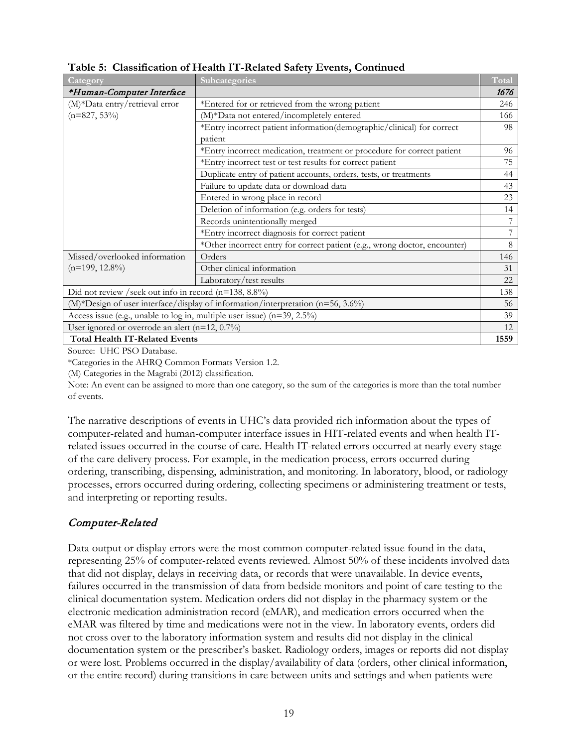| Category                                                                | <b>Subcategories</b>                                                            | Total |
|-------------------------------------------------------------------------|---------------------------------------------------------------------------------|-------|
| *Human-Computer Interface                                               |                                                                                 | 1676  |
| (M)*Data entry/retrieval error                                          | *Entered for or retrieved from the wrong patient                                | 246   |
| $(n=827, 53\%)$                                                         | (M)*Data not entered/incompletely entered                                       | 166   |
|                                                                         | *Entry incorrect patient information(demographic/clinical) for correct          | 98    |
|                                                                         | patient                                                                         |       |
|                                                                         | *Entry incorrect medication, treatment or procedure for correct patient         | 96    |
|                                                                         | *Entry incorrect test or test results for correct patient                       | 75    |
|                                                                         | Duplicate entry of patient accounts, orders, tests, or treatments               | 44    |
|                                                                         | Failure to update data or download data                                         | 43    |
|                                                                         | Entered in wrong place in record                                                | 23    |
|                                                                         | Deletion of information (e.g. orders for tests)                                 | 14    |
|                                                                         | Records unintentionally merged                                                  | 7     |
|                                                                         | *Entry incorrect diagnosis for correct patient                                  | 7     |
|                                                                         | *Other incorrect entry for correct patient (e.g., wrong doctor, encounter)      | 8     |
| Missed/overlooked information                                           | Orders                                                                          | 146   |
| $(n=199, 12.8\%)$                                                       | Other clinical information                                                      | 31    |
|                                                                         | Laboratory/test results                                                         | 22    |
| Did not review / seek out info in record $(n=138, 8.8\%)$               |                                                                                 | 138   |
|                                                                         | (M)*Design of user interface/display of information/interpretation (n=56, 3.6%) | 56    |
| Access issue (e.g., unable to log in, multiple user issue) (n=39, 2.5%) |                                                                                 | 39    |
| User ignored or overrode an alert ( $n=12$ , 0.7%)                      |                                                                                 | 12    |
| <b>Total Health IT-Related Events</b>                                   |                                                                                 | 1559  |

**Table 5: Classification of Health IT-Related Safety Events, Continued**

Source: UHC PSO Database.

\*Categories in the AHRQ Common Formats Version 1.2.

(M) Categories in the Magrabi (2012) classification.

Note: An event can be assigned to more than one category, so the sum of the categories is more than the total number of events.

The narrative descriptions of events in UHC's data provided rich information about the types of computer-related and human-computer interface issues in HIT-related events and when health ITrelated issues occurred in the course of care. Health IT-related errors occurred at nearly every stage of the care delivery process. For example, in the medication process, errors occurred during ordering, transcribing, dispensing, administration, and monitoring. In laboratory, blood, or radiology processes, errors occurred during ordering, collecting specimens or administering treatment or tests, and interpreting or reporting results.

#### Computer-Related

Data output or display errors were the most common computer-related issue found in the data, representing 25% of computer-related events reviewed. Almost 50% of these incidents involved data that did not display, delays in receiving data, or records that were unavailable. In device events, failures occurred in the transmission of data from bedside monitors and point of care testing to the clinical documentation system. Medication orders did not display in the pharmacy system or the electronic medication administration record (eMAR), and medication errors occurred when the eMAR was filtered by time and medications were not in the view. In laboratory events, orders did not cross over to the laboratory information system and results did not display in the clinical documentation system or the prescriber's basket. Radiology orders, images or reports did not display or were lost. Problems occurred in the display/availability of data (orders, other clinical information, or the entire record) during transitions in care between units and settings and when patients were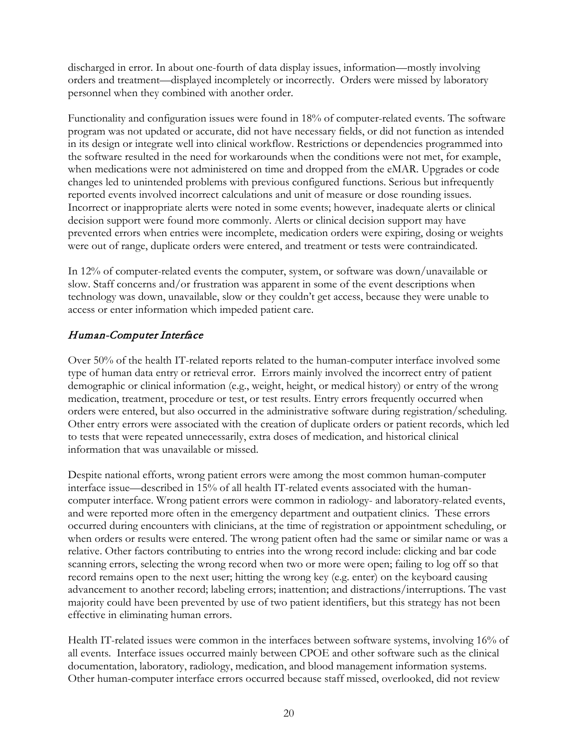discharged in error. In about one-fourth of data display issues, information—mostly involving orders and treatment—displayed incompletely or incorrectly. Orders were missed by laboratory personnel when they combined with another order.

Functionality and configuration issues were found in 18% of computer-related events. The software program was not updated or accurate, did not have necessary fields, or did not function as intended in its design or integrate well into clinical workflow. Restrictions or dependencies programmed into the software resulted in the need for workarounds when the conditions were not met, for example, when medications were not administered on time and dropped from the eMAR. Upgrades or code changes led to unintended problems with previous configured functions. Serious but infrequently reported events involved incorrect calculations and unit of measure or dose rounding issues. Incorrect or inappropriate alerts were noted in some events; however, inadequate alerts or clinical decision support were found more commonly. Alerts or clinical decision support may have prevented errors when entries were incomplete, medication orders were expiring, dosing or weights were out of range, duplicate orders were entered, and treatment or tests were contraindicated.

In 12% of computer-related events the computer, system, or software was down/unavailable or slow. Staff concerns and/or frustration was apparent in some of the event descriptions when technology was down, unavailable, slow or they couldn't get access, because they were unable to access or enter information which impeded patient care.

#### Human-Computer Interface

Over 50% of the health IT-related reports related to the human-computer interface involved some type of human data entry or retrieval error. Errors mainly involved the incorrect entry of patient demographic or clinical information (e.g., weight, height, or medical history) or entry of the wrong medication, treatment, procedure or test, or test results. Entry errors frequently occurred when orders were entered, but also occurred in the administrative software during registration/scheduling. Other entry errors were associated with the creation of duplicate orders or patient records, which led to tests that were repeated unnecessarily, extra doses of medication, and historical clinical information that was unavailable or missed.

Despite national efforts, wrong patient errors were among the most common human-computer interface issue—described in 15% of all health IT-related events associated with the humancomputer interface. Wrong patient errors were common in radiology- and laboratory-related events, and were reported more often in the emergency department and outpatient clinics. These errors occurred during encounters with clinicians, at the time of registration or appointment scheduling, or when orders or results were entered. The wrong patient often had the same or similar name or was a relative. Other factors contributing to entries into the wrong record include: clicking and bar code scanning errors, selecting the wrong record when two or more were open; failing to log off so that record remains open to the next user; hitting the wrong key (e.g. enter) on the keyboard causing advancement to another record; labeling errors; inattention; and distractions/interruptions. The vast majority could have been prevented by use of two patient identifiers, but this strategy has not been effective in eliminating human errors.

Health IT-related issues were common in the interfaces between software systems, involving 16% of all events. Interface issues occurred mainly between CPOE and other software such as the clinical documentation, laboratory, radiology, medication, and blood management information systems. Other human-computer interface errors occurred because staff missed, overlooked, did not review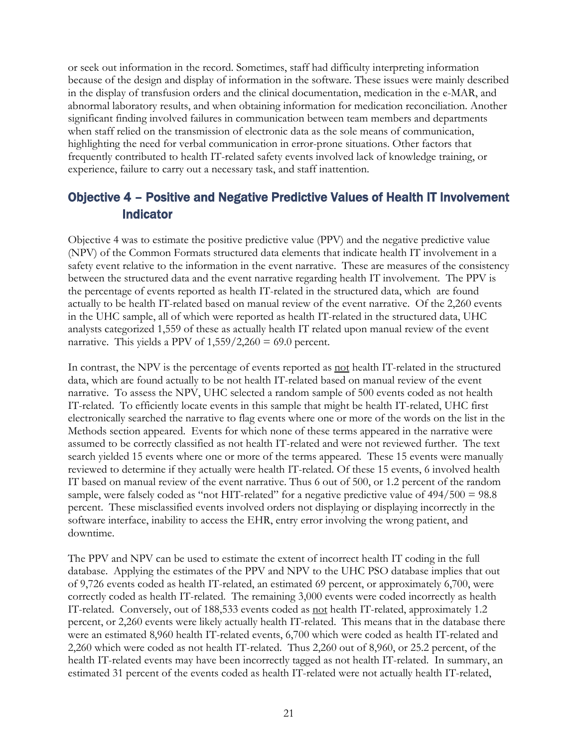or seek out information in the record. Sometimes, staff had difficulty interpreting information because of the design and display of information in the software. These issues were mainly described in the display of transfusion orders and the clinical documentation, medication in the e-MAR, and abnormal laboratory results, and when obtaining information for medication reconciliation. Another significant finding involved failures in communication between team members and departments when staff relied on the transmission of electronic data as the sole means of communication, highlighting the need for verbal communication in error-prone situations. Other factors that frequently contributed to health IT-related safety events involved lack of knowledge training, or experience, failure to carry out a necessary task, and staff inattention.

## <span id="page-21-0"></span>Objective 4 – Positive and Negative Predictive Values of Health IT Involvement Indicator

Objective 4 was to estimate the positive predictive value (PPV) and the negative predictive value (NPV) of the Common Formats structured data elements that indicate health IT involvement in a safety event relative to the information in the event narrative. These are measures of the consistency between the structured data and the event narrative regarding health IT involvement. The PPV is the percentage of events reported as health IT-related in the structured data, which are found actually to be health IT-related based on manual review of the event narrative. Of the 2,260 events in the UHC sample, all of which were reported as health IT-related in the structured data, UHC analysts categorized 1,559 of these as actually health IT related upon manual review of the event narrative. This yields a PPV of  $1,559/2,260 = 69.0$  percent.

In contrast, the NPV is the percentage of events reported as <u>not</u> health IT-related in the structured data, which are found actually to be not health IT-related based on manual review of the event narrative. To assess the NPV, UHC selected a random sample of 500 events coded as not health IT-related. To efficiently locate events in this sample that might be health IT-related, UHC first electronically searched the narrative to flag events where one or more of the words on the list in the Methods section appeared. Events for which none of these terms appeared in the narrative were assumed to be correctly classified as not health IT-related and were not reviewed further. The text search yielded 15 events where one or more of the terms appeared. These 15 events were manually reviewed to determine if they actually were health IT-related. Of these 15 events, 6 involved health IT based on manual review of the event narrative. Thus 6 out of 500, or 1.2 percent of the random sample, were falsely coded as "not HIT-related" for a negative predictive value of  $494/500 = 98.8$ percent. These misclassified events involved orders not displaying or displaying incorrectly in the software interface, inability to access the EHR, entry error involving the wrong patient, and downtime.

The PPV and NPV can be used to estimate the extent of incorrect health IT coding in the full database. Applying the estimates of the PPV and NPV to the UHC PSO database implies that out of 9,726 events coded as health IT-related, an estimated 69 percent, or approximately 6,700, were correctly coded as health IT-related. The remaining 3,000 events were coded incorrectly as health IT-related. Conversely, out of 188,533 events coded as not health IT-related, approximately 1.2 percent, or 2,260 events were likely actually health IT-related. This means that in the database there were an estimated 8,960 health IT-related events, 6,700 which were coded as health IT-related and 2,260 which were coded as not health IT-related. Thus 2,260 out of 8,960, or 25.2 percent, of the health IT-related events may have been incorrectly tagged as not health IT-related. In summary, an estimated 31 percent of the events coded as health IT-related were not actually health IT-related,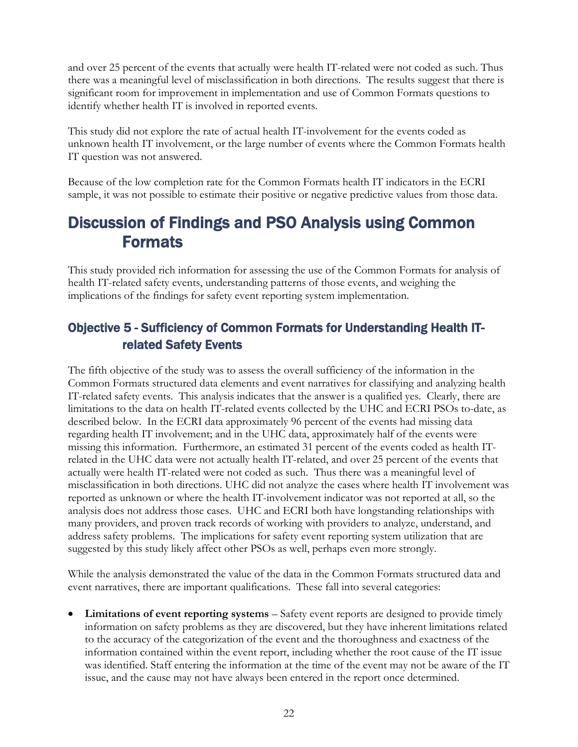and over 25 percent of the events that actually were health IT-related were not coded as such. Thus there was a meaningful level of misclassification in both directions. The results suggest that there is significant room for improvement in implementation and use of Common Formats questions to identify whether health IT is involved in reported events.

This study did not explore the rate of actual health IT-involvement for the events coded as unknown health IT involvement, or the large number of events where the Common Formats health IT question was not answered.

Because of the low completion rate for the Common Formats health IT indicators in the ECRI sample, it was not possible to estimate their positive or negative predictive values from those data.

# <span id="page-22-0"></span>Discussion of Findings and PSO Analysis using Common Formats

This study provided rich information for assessing the use of the Common Formats for analysis of health IT-related safety events, understanding patterns of those events, and weighing the implications of the findings for safety event reporting system implementation.

## <span id="page-22-1"></span>Objective 5 - Sufficiency of Common Formats for Understanding Health ITrelated Safety Events

The fifth objective of the study was to assess the overall sufficiency of the information in the Common Formats structured data elements and event narratives for classifying and analyzing health IT-related safety events. This analysis indicates that the answer is a qualified yes. Clearly, there are limitations to the data on health IT-related events collected by the UHC and ECRI PSOs to-date, as described below. In the ECRI data approximately 96 percent of the events had missing data regarding health IT involvement; and in the UHC data, approximately half of the events were missing this information. Furthermore, an estimated 31 percent of the events coded as health ITrelated in the UHC data were not actually health IT-related, and over 25 percent of the events that actually were health IT-related were not coded as such. Thus there was a meaningful level of misclassification in both directions. UHC did not analyze the cases where health IT involvement was reported as unknown or where the health IT-involvement indicator was not reported at all, so the analysis does not address those cases. UHC and ECRI both have longstanding relationships with many providers, and proven track records of working with providers to analyze, understand, and address safety problems. The implications for safety event reporting system utilization that are suggested by this study likely affect other PSOs as well, perhaps even more strongly.

While the analysis demonstrated the value of the data in the Common Formats structured data and event narratives, there are important qualifications. These fall into several categories:

• Limitations of event reporting systems – Safety event reports are designed to provide timely information on safety problems as they are discovered, but they have inherent limitations related to the accuracy of the categorization of the event and the thoroughness and exactness of the information contained within the event report, including whether the root cause of the IT issue was identified. Staff entering the information at the time of the event may not be aware of the IT issue, and the cause may not have always been entered in the report once determined.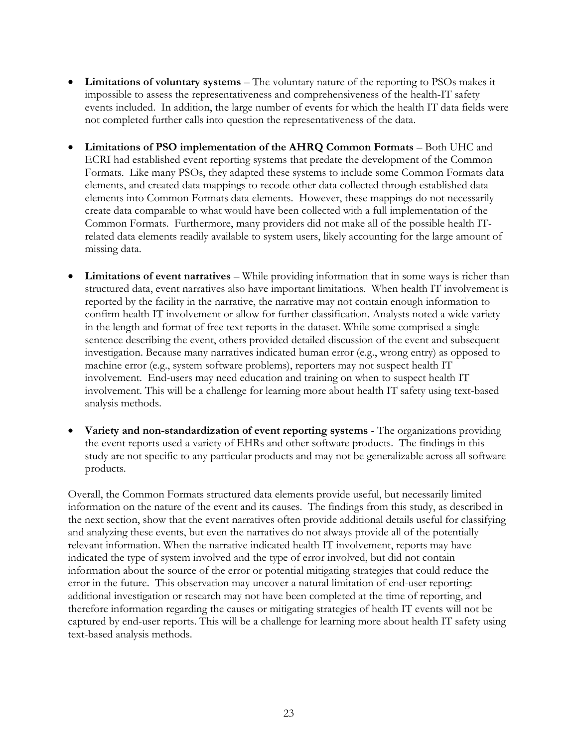- **Limitations of voluntary systems** The voluntary nature of the reporting to PSOs makes it impossible to assess the representativeness and comprehensiveness of the health-IT safety events included. In addition, the large number of events for which the health IT data fields were not completed further calls into question the representativeness of the data.
- **Limitations of PSO implementation of the AHRQ Common Formats**  Both UHC and ECRI had established event reporting systems that predate the development of the Common Formats. Like many PSOs, they adapted these systems to include some Common Formats data elements, and created data mappings to recode other data collected through established data elements into Common Formats data elements. However, these mappings do not necessarily create data comparable to what would have been collected with a full implementation of the Common Formats. Furthermore, many providers did not make all of the possible health ITrelated data elements readily available to system users, likely accounting for the large amount of missing data.
- **Limitations of event narratives** While providing information that in some ways is richer than structured data, event narratives also have important limitations. When health IT involvement is reported by the facility in the narrative, the narrative may not contain enough information to confirm health IT involvement or allow for further classification. Analysts noted a wide variety in the length and format of free text reports in the dataset. While some comprised a single sentence describing the event, others provided detailed discussion of the event and subsequent investigation. Because many narratives indicated human error (e.g., wrong entry) as opposed to machine error (e.g., system software problems), reporters may not suspect health IT involvement. End-users may need education and training on when to suspect health IT involvement. This will be a challenge for learning more about health IT safety using text-based analysis methods.
- **Variety and non-standardization of event reporting systems** The organizations providing the event reports used a variety of EHRs and other software products. The findings in this study are not specific to any particular products and may not be generalizable across all software products.

Overall, the Common Formats structured data elements provide useful, but necessarily limited information on the nature of the event and its causes. The findings from this study, as described in the next section, show that the event narratives often provide additional details useful for classifying and analyzing these events, but even the narratives do not always provide all of the potentially relevant information. When the narrative indicated health IT involvement, reports may have indicated the type of system involved and the type of error involved, but did not contain information about the source of the error or potential mitigating strategies that could reduce the error in the future. This observation may uncover a natural limitation of end-user reporting: additional investigation or research may not have been completed at the time of reporting, and therefore information regarding the causes or mitigating strategies of health IT events will not be captured by end-user reports. This will be a challenge for learning more about health IT safety using text-based analysis methods.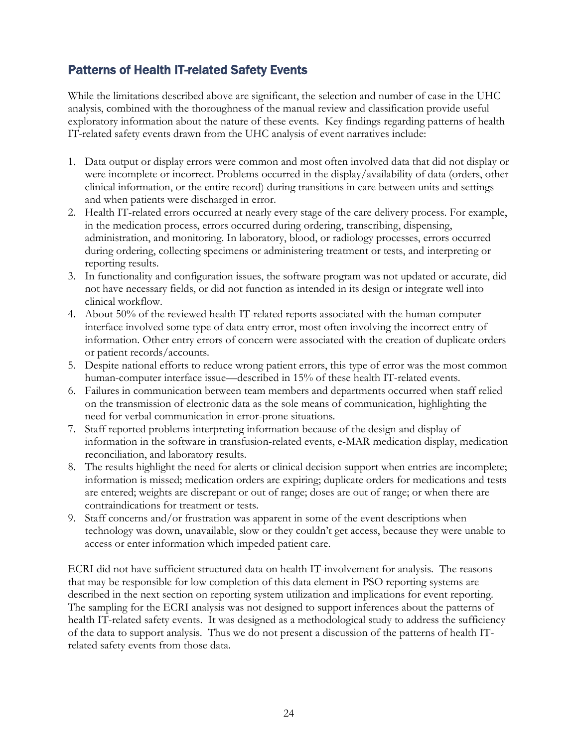## <span id="page-24-0"></span>Patterns of Health IT-related Safety Events

While the limitations described above are significant, the selection and number of case in the UHC analysis, combined with the thoroughness of the manual review and classification provide useful exploratory information about the nature of these events. Key findings regarding patterns of health IT-related safety events drawn from the UHC analysis of event narratives include:

- 1. Data output or display errors were common and most often involved data that did not display or were incomplete or incorrect. Problems occurred in the display/availability of data (orders, other clinical information, or the entire record) during transitions in care between units and settings and when patients were discharged in error.
- 2. Health IT-related errors occurred at nearly every stage of the care delivery process. For example, in the medication process, errors occurred during ordering, transcribing, dispensing, administration, and monitoring. In laboratory, blood, or radiology processes, errors occurred during ordering, collecting specimens or administering treatment or tests, and interpreting or reporting results.
- 3. In functionality and configuration issues, the software program was not updated or accurate, did not have necessary fields, or did not function as intended in its design or integrate well into clinical workflow.
- 4. About 50% of the reviewed health IT-related reports associated with the human computer interface involved some type of data entry error, most often involving the incorrect entry of information. Other entry errors of concern were associated with the creation of duplicate orders or patient records/accounts.
- 5. Despite national efforts to reduce wrong patient errors, this type of error was the most common human-computer interface issue—described in 15% of these health IT-related events.
- 6. Failures in communication between team members and departments occurred when staff relied on the transmission of electronic data as the sole means of communication, highlighting the need for verbal communication in error-prone situations.
- 7. Staff reported problems interpreting information because of the design and display of information in the software in transfusion-related events, e-MAR medication display, medication reconciliation, and laboratory results.
- 8. The results highlight the need for alerts or clinical decision support when entries are incomplete; information is missed; medication orders are expiring; duplicate orders for medications and tests are entered; weights are discrepant or out of range; doses are out of range; or when there are contraindications for treatment or tests.
- 9. Staff concerns and/or frustration was apparent in some of the event descriptions when technology was down, unavailable, slow or they couldn't get access, because they were unable to access or enter information which impeded patient care.

ECRI did not have sufficient structured data on health IT-involvement for analysis. The reasons that may be responsible for low completion of this data element in PSO reporting systems are described in the next section on reporting system utilization and implications for event reporting. The sampling for the ECRI analysis was not designed to support inferences about the patterns of health IT-related safety events. It was designed as a methodological study to address the sufficiency of the data to support analysis. Thus we do not present a discussion of the patterns of health ITrelated safety events from those data.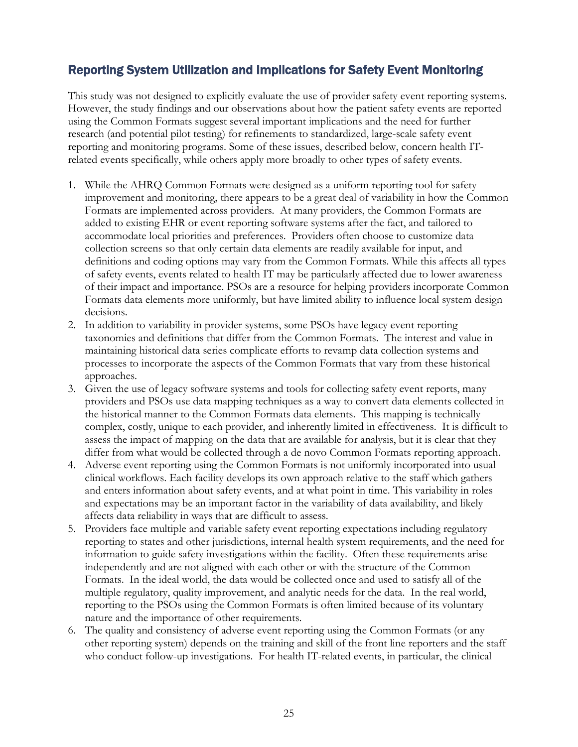## <span id="page-25-0"></span>Reporting System Utilization and Implications for Safety Event Monitoring

This study was not designed to explicitly evaluate the use of provider safety event reporting systems. However, the study findings and our observations about how the patient safety events are reported using the Common Formats suggest several important implications and the need for further research (and potential pilot testing) for refinements to standardized, large-scale safety event reporting and monitoring programs. Some of these issues, described below, concern health ITrelated events specifically, while others apply more broadly to other types of safety events.

- 1. While the AHRQ Common Formats were designed as a uniform reporting tool for safety improvement and monitoring, there appears to be a great deal of variability in how the Common Formats are implemented across providers. At many providers, the Common Formats are added to existing EHR or event reporting software systems after the fact, and tailored to accommodate local priorities and preferences. Providers often choose to customize data collection screens so that only certain data elements are readily available for input, and definitions and coding options may vary from the Common Formats. While this affects all types of safety events, events related to health IT may be particularly affected due to lower awareness of their impact and importance. PSOs are a resource for helping providers incorporate Common Formats data elements more uniformly, but have limited ability to influence local system design decisions.
- 2. In addition to variability in provider systems, some PSOs have legacy event reporting taxonomies and definitions that differ from the Common Formats. The interest and value in maintaining historical data series complicate efforts to revamp data collection systems and processes to incorporate the aspects of the Common Formats that vary from these historical approaches.
- 3. Given the use of legacy software systems and tools for collecting safety event reports, many providers and PSOs use data mapping techniques as a way to convert data elements collected in the historical manner to the Common Formats data elements. This mapping is technically complex, costly, unique to each provider, and inherently limited in effectiveness. It is difficult to assess the impact of mapping on the data that are available for analysis, but it is clear that they differ from what would be collected through a de novo Common Formats reporting approach.
- 4. Adverse event reporting using the Common Formats is not uniformly incorporated into usual clinical workflows. Each facility develops its own approach relative to the staff which gathers and enters information about safety events, and at what point in time. This variability in roles and expectations may be an important factor in the variability of data availability, and likely affects data reliability in ways that are difficult to assess.
- 5. Providers face multiple and variable safety event reporting expectations including regulatory reporting to states and other jurisdictions, internal health system requirements, and the need for information to guide safety investigations within the facility. Often these requirements arise independently and are not aligned with each other or with the structure of the Common Formats. In the ideal world, the data would be collected once and used to satisfy all of the multiple regulatory, quality improvement, and analytic needs for the data. In the real world, reporting to the PSOs using the Common Formats is often limited because of its voluntary nature and the importance of other requirements.
- 6. The quality and consistency of adverse event reporting using the Common Formats (or any other reporting system) depends on the training and skill of the front line reporters and the staff who conduct follow-up investigations. For health IT-related events, in particular, the clinical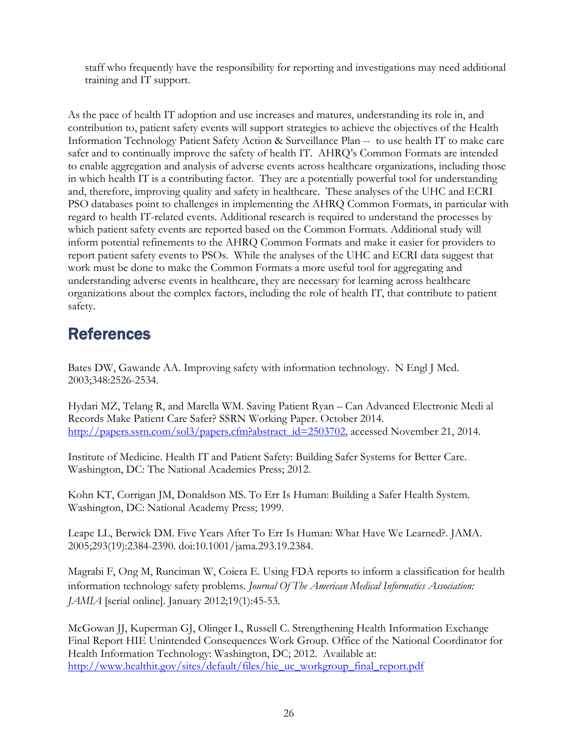staff who frequently have the responsibility for reporting and investigations may need additional training and IT support.

As the pace of health IT adoption and use increases and matures, understanding its role in, and contribution to, patient safety events will support strategies to achieve the objectives of the Health Information Technology Patient Safety Action & Surveillance Plan -- to use health IT to make care safer and to continually improve the safety of health IT. AHRQ's Common Formats are intended to enable aggregation and analysis of adverse events across healthcare organizations, including those in which health IT is a contributing factor. They are a potentially powerful tool for understanding and, therefore, improving quality and safety in healthcare. These analyses of the UHC and ECRI PSO databases point to challenges in implementing the AHRQ Common Formats, in particular with regard to health IT-related events. Additional research is required to understand the processes by which patient safety events are reported based on the Common Formats. Additional study will inform potential refinements to the AHRQ Common Formats and make it easier for providers to report patient safety events to PSOs. While the analyses of the UHC and ECRI data suggest that work must be done to make the Common Formats a more useful tool for aggregating and understanding adverse events in healthcare, they are necessary for learning across healthcare organizations about the complex factors, including the role of health IT, that contribute to patient safety.

# <span id="page-26-0"></span>**References**

Bates DW, Gawande AA. Improving safety with information technology. N Engl J Med. 2003;348:2526-2534.

Hydari MZ, Telang R, and Marella WM. Saving Patient Ryan – Can Advanced Electronic Medi al Records Make Patient Care Safer? SSRN Working Paper. October 2014. [http://papers.ssrn.com/sol3/papers.cfm?abstract\\_id=2503702,](http://papers.ssrn.com/sol3/papers.cfm?abstract_id=2503702) accessed November 21, 2014.

Institute of Medicine. Health IT and Patient Safety: Building Safer Systems for Better Care. Washington, DC: The National Academies Press; 2012.

Kohn KT, Corrigan JM, Donaldson MS. To Err Is Human: Building a Safer Health System. Washington, DC: National Academy Press; 1999.

Leape LL, Berwick DM. Five Years After To Err Is Human: What Have We Learned?. JAMA. 2005;293(19):2384-2390. doi:10.1001/jama.293.19.2384.

Magrabi F, Ong M, Runciman W, Coiera E. Using FDA reports to inform a classification for health information technology safety problems. *Journal Of The American Medical Informatics Association: JAMIA* [serial online]. January 2012;19(1):45-53.

McGowan JJ, Kuperman GJ, Olinger L, Russell C. Strengthening Health Information Exchange Final Report HIE Unintended Consequences Work Group. Office of the National Coordinator for Health Information Technology: Washington, DC; 2012. Available at: [http://www.healthit.gov/sites/default/files/hie\\_uc\\_workgroup\\_final\\_report.pdf](http://www.healthit.gov/sites/default/files/hie_uc_workgroup_final_report.pdf)